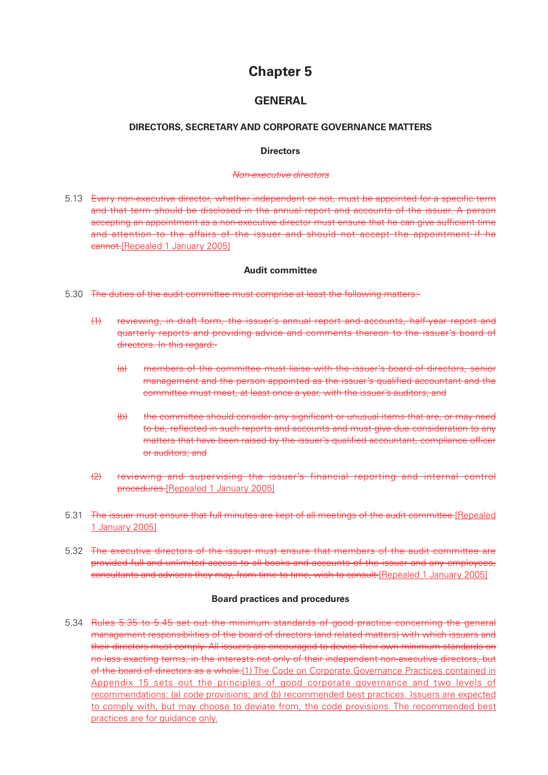# **Chapter 5**

# **GENERAL**

#### **DIRECTORS, SECRETARY AND CORPORATE GOVERNANCE MATTERS**

#### **Directors**

#### Non-executive directors

5.13 Every non-executive director, whether independent or not, must be appointed for a specific term and that term should be disclosed in the annual report and accounts of the issuer. A person accepting an appointment as a non-executive director must ensure that he can give sufficient time and attention to the affairs of the issuer and should not accept the appointment if he cannot.[Repealed 1 January 2005]

#### **Audit committee**

- 5.30 The duties of the audit committee must comprise at least the following matters:-
	- (1) reviewing, in draft form, the issuer's annual report and accounts, half-year report and quarterly reports and providing advice and comments thereon to the issuer's board of directors. In this regard:-
		- (a) members of the committee must liaise with the issuer's board of directors, senior management and the person appointed as the issuer's qualified accountant and the committee must meet, at least once a year, with the issuer's auditors; and
		- (b) the committee should consider any significant or unusual items that are, or may need to be, reflected in such reports and accounts and must give due consideration to any matters that have been raised by the issuer's qualified accountant, compliance officer or auditors; and
	- (2) reviewing and supervising the issuer's financial reporting and internal control procedures.[Repealed 1 January 2005]
- 5.31 The issuer must ensure that full minutes are kept of all meetings of the audit committee.[Repealed 1 January 2005]
- 5.32 The executive directors of the issuer must ensure that members of the audit committee are provided full and unlimited access to all books and accounts of the issuer and any employees, consultants and advisers they may, from time to time, wish to consult.[Repealed 1 January 2005]

#### **Board practices and procedures**

5.34 Rules 5.35 to 5.45 set out the minimum standards of good practice concerning the general management responsibilities of the board of directors (and related matters) with which issuers and their directors must comply. All issuers are encouraged to devise their own minimum standards on no less exacting terms, in the interests not only of their independent non-executive directors, but of the board of directors as a whole.(1) The Code on Corporate Governance Practices contained in Appendix 15 sets out the principles of good corporate governance and two levels of recommendations: (a) code provisions; and (b) recommended best practices. Issuers are expected to comply with, but may choose to deviate from, the code provisions. The recommended best practices are for guidance only.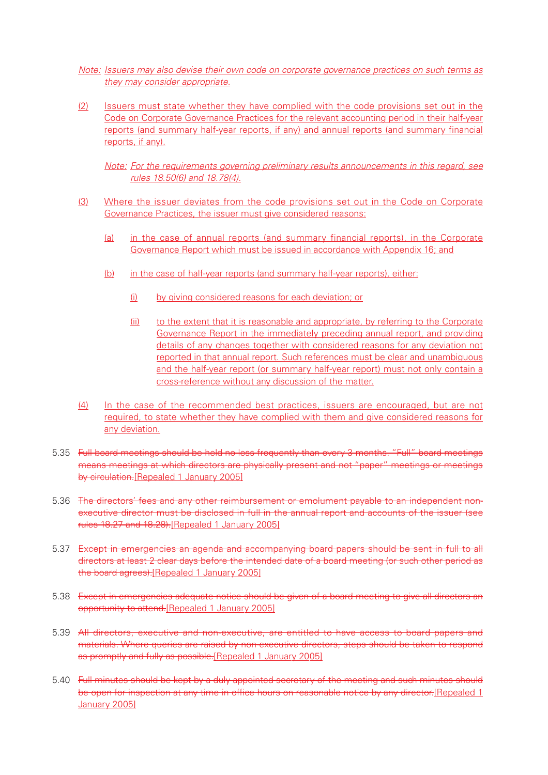- Note: Issuers may also devise their own code on corporate governance practices on such terms as they may consider appropriate.
- (2) Issuers must state whether they have complied with the code provisions set out in the Code on Corporate Governance Practices for the relevant accounting period in their half-year reports (and summary half-year reports, if any) and annual reports (and summary financial reports, if any).

Note: For the requirements governing preliminary results announcements in this regard, see rules 18.50(6) and 18.78(4).

- (3) Where the issuer deviates from the code provisions set out in the Code on Corporate Governance Practices, the issuer must give considered reasons:
	- (a) in the case of annual reports (and summary financial reports), in the Corporate Governance Report which must be issued in accordance with Appendix 16; and
	- (b) in the case of half-year reports (and summary half-year reports), either:
		- (i) by giving considered reasons for each deviation; or
		- (ii) to the extent that it is reasonable and appropriate, by referring to the Corporate Governance Report in the immediately preceding annual report, and providing details of any changes together with considered reasons for any deviation not reported in that annual report. Such references must be clear and unambiguous and the half-year report (or summary half-year report) must not only contain a cross-reference without any discussion of the matter.
- (4) In the case of the recommended best practices, issuers are encouraged, but are not required, to state whether they have complied with them and give considered reasons for any deviation.
- 5.35 Full board meetings should be held no less frequently than every 3 months. "Full" board meetings means meetings at which directors are physically present and not "paper" meetings or meetings by circulation.[Repealed 1 January 2005]
- 5.36 The directors' fees and any other reimbursement or emolument payable to an independent nonexecutive director must be disclosed in full in the annual report and accounts of the issuer (see rules 18.27 and 18.28).[Repealed 1 January 2005]
- 5.37 Except in emergencies an agenda and accompanying board papers should be sent in full to all directors at least 2 clear days before the intended date of a board meeting (or such other period as the board agrees).[Repealed 1 January 2005]
- 5.38 Except in emergencies adequate notice should be given of a board meeting to give all directors an opportunity to attend.[Repealed 1 January 2005]
- 5.39 All directors, executive and non-executive, are entitled to have access to board papers and materials. Where queries are raised by non-executive directors, steps should be taken to respond as promptly and fully as possible.[Repealed 1 January 2005]
- 5.40 Full minutes should be kept by a duly appointed secretary of the meeting and such minutes should be open for inspection at any time in office hours on reasonable notice by any director. [Repealed 1 January 2005]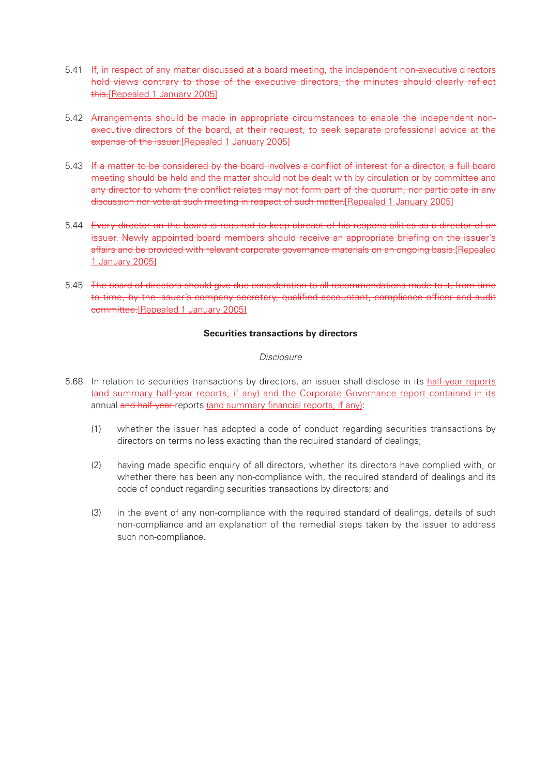- 5.41 If, in respect of any matter discussed at a board meeting, the independent non-executive directors hold views contrary to those of the executive directors, the minutes should clearly reflect this.[Repealed 1 January 2005]
- 5.42 Arrangements should be made in appropriate circumstances to enable the independent nonexecutive directors of the board, at their request, to seek separate professional advice at the expense of the issuer. [Repealed 1 January 2005]
- 5.43 If a matter to be considered by the board involves a conflict of interest for a director, a full board meeting should be held and the matter should not be dealt with by circulation or by committee and any director to whom the conflict relates may not form part of the quorum, nor participate in any discussion nor vote at such meeting in respect of such matter.[Repealed 1 January 2005]
- 5.44 Every director on the board is required to keep abreast of his responsibilities as a director of an issuer. Newly appointed board members should receive an appropriate briefing on the issuer's affairs and be provided with relevant corporate governance materials on an ongoing basis.[Repealed 1 January 2005]
- 5.45 The board of directors should give due consideration to all recommendations made to it, from time to time, by the issuer's company secretary, qualified accountant, compliance officer and audit committee.[Repealed 1 January 2005]

#### **Securities transactions by directors**

#### **Disclosure**

- 5.68 In relation to securities transactions by directors, an issuer shall disclose in its half-year reports (and summary half-year reports, if any) and the Corporate Governance report contained in its annual and half-year-reports (and summary financial reports, if any):
	- (1) whether the issuer has adopted a code of conduct regarding securities transactions by directors on terms no less exacting than the required standard of dealings;
	- (2) having made specific enquiry of all directors, whether its directors have complied with, or whether there has been any non-compliance with, the required standard of dealings and its code of conduct regarding securities transactions by directors; and
	- (3) in the event of any non-compliance with the required standard of dealings, details of such non-compliance and an explanation of the remedial steps taken by the issuer to address such non-compliance.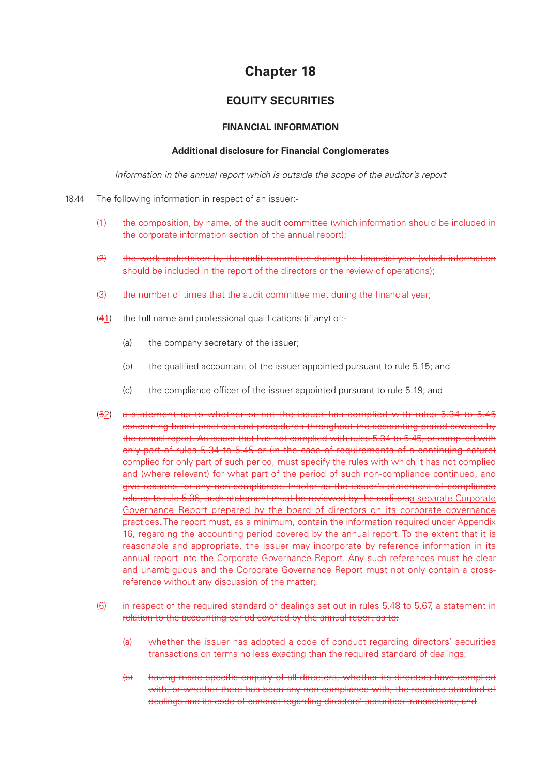# **Chapter 18**

# **EQUITY SECURITIES**

#### **FINANCIAL INFORMATION**

#### **Additional disclosure for Financial Conglomerates**

Information in the annual report which is outside the scope of the auditor's report

- 18.44 The following information in respect of an issuer:-
	- (1) the composition, by name, of the audit committee (which information should be included in the corporate information section of the annual report);
	- (2) the work undertaken by the audit committee during the financial year (which information should be included in the report of the directors or the review of operations);
	- (3) the number of times that the audit committee met during the financial year;
	- (41) the full name and professional qualifications (if any) of:-
		- (a) the company secretary of the issuer;
		- (b) the qualified accountant of the issuer appointed pursuant to rule 5.15; and
		- (c) the compliance officer of the issuer appointed pursuant to rule 5.19; and
	- (52) a statement as to whether or not the issuer has complied with rules 5.34 to 5.45 concerning board practices and procedures throughout the accounting period covered by the annual report. An issuer that has not complied with rules 5.34 to 5.45, or complied with only part of rules 5.34 to 5.45 or (in the case of requirements of a continuing nature) complied for only part of such period, must specify the rules with which it has not complied and (where relevant) for what part of the period of such non-compliance continued, and give reasons for any non-compliance. Insofar as the issuer's statement of compliance relates to rule 5.36, such statement must be reviewed by the auditorsa separate Corporate Governance Report prepared by the board of directors on its corporate governance practices. The report must, as a minimum, contain the information required under Appendix 16, regarding the accounting period covered by the annual report. To the extent that it is reasonable and appropriate, the issuer may incorporate by reference information in its annual report into the Corporate Governance Report. Any such references must be clear and unambiguous and the Corporate Governance Report must not only contain a crossreference without any discussion of the matter;.
	- (6) in respect of the required standard of dealings set out in rules 5.48 to 5.67, a statement in relation to the accounting period covered by the annual report as to:
		- (a) whether the issuer has adopted a code of conduct regarding directors' securities transactions on terms no less exacting than the required standard of dealings;
		- (b) having made specific enquiry of all directors, whether its directors have complied with, or whether there has been any non-compliance with, the required standard of dealings and its code of conduct regarding directors' securities transactions; and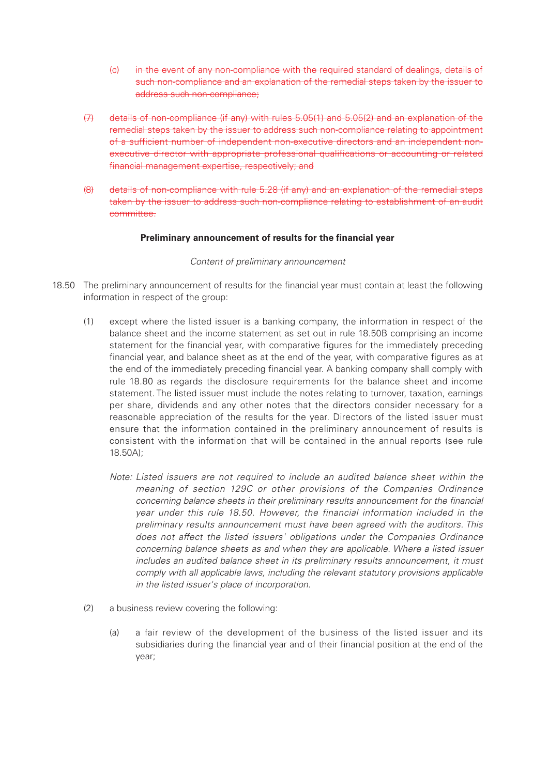- (c) in the event of any non-compliance with the required standard of dealings, details of such non-compliance and an explanation of the remedial steps taken by the issuer to address such non-compliance;
- (7) details of non-compliance (if any) with rules 5.05(1) and 5.05(2) and an explanation of the remedial steps taken by the issuer to address such non-compliance relating to appointment of a sufficient number of independent non-executive directors and an independent nonexecutive director with appropriate professional qualifications or accounting or related financial management expertise, respectively; and
- (8) details of non-compliance with rule 5.28 (if any) and an explanation of the remedial steps taken by the issuer to address such non-compliance relating to establishment of an audit committee.

#### **Preliminary announcement of results for the financial year**

#### Content of preliminary announcement

- 18.50 The preliminary announcement of results for the financial year must contain at least the following information in respect of the group:
	- (1) except where the listed issuer is a banking company, the information in respect of the balance sheet and the income statement as set out in rule 18.50B comprising an income statement for the financial year, with comparative figures for the immediately preceding financial year, and balance sheet as at the end of the year, with comparative figures as at the end of the immediately preceding financial year. A banking company shall comply with rule 18.80 as regards the disclosure requirements for the balance sheet and income statement. The listed issuer must include the notes relating to turnover, taxation, earnings per share, dividends and any other notes that the directors consider necessary for a reasonable appreciation of the results for the year. Directors of the listed issuer must ensure that the information contained in the preliminary announcement of results is consistent with the information that will be contained in the annual reports (see rule 18.50A);
		- Note: Listed issuers are not required to include an audited balance sheet within the meaning of section 129C or other provisions of the Companies Ordinance concerning balance sheets in their preliminary results announcement for the financial year under this rule 18.50. However, the financial information included in the preliminary results announcement must have been agreed with the auditors. This does not affect the listed issuers' obligations under the Companies Ordinance concerning balance sheets as and when they are applicable. Where a listed issuer includes an audited balance sheet in its preliminary results announcement, it must comply with all applicable laws, including the relevant statutory provisions applicable in the listed issuer's place of incorporation.
	- (2) a business review covering the following:
		- (a) a fair review of the development of the business of the listed issuer and its subsidiaries during the financial year and of their financial position at the end of the year;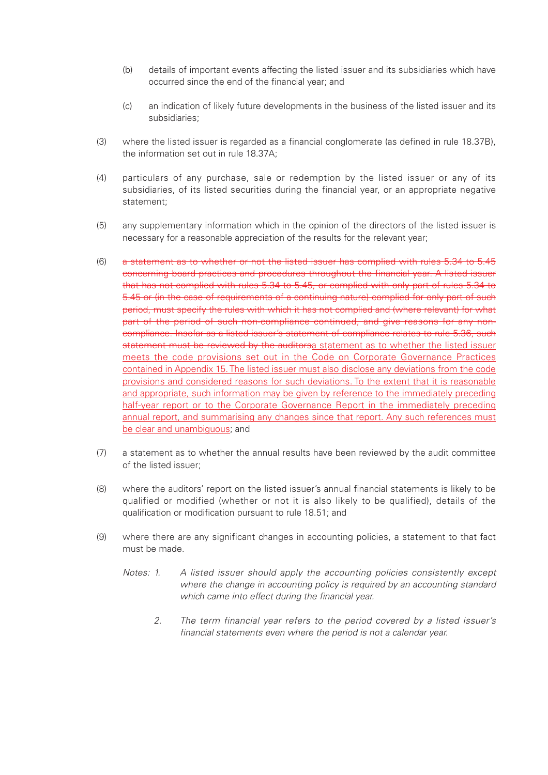- (b) details of important events affecting the listed issuer and its subsidiaries which have occurred since the end of the financial year; and
- (c) an indication of likely future developments in the business of the listed issuer and its subsidiaries;
- (3) where the listed issuer is regarded as a financial conglomerate (as defined in rule 18.37B), the information set out in rule 18.37A;
- (4) particulars of any purchase, sale or redemption by the listed issuer or any of its subsidiaries, of its listed securities during the financial year, or an appropriate negative statement;
- (5) any supplementary information which in the opinion of the directors of the listed issuer is necessary for a reasonable appreciation of the results for the relevant year;
- (6) a statement as to whether or not the listed issuer has complied with rules 5.34 to 5.45 concerning board practices and procedures throughout the financial year. A listed issuer that has not complied with rules 5.34 to 5.45, or complied with only part of rules 5.34 to 5.45 or (in the case of requirements of a continuing nature) complied for only part of such period, must specify the rules with which it has not complied and (where relevant) for what part of the period of such non-compliance continued, and give reasons for any noncompliance. Insofar as a listed issuer's statement of compliance relates to rule 5.36, such statement must be reviewed by the auditorsa statement as to whether the listed issuer meets the code provisions set out in the Code on Corporate Governance Practices contained in Appendix 15. The listed issuer must also disclose any deviations from the code provisions and considered reasons for such deviations. To the extent that it is reasonable and appropriate, such information may be given by reference to the immediately preceding half-year report or to the Corporate Governance Report in the immediately preceding annual report, and summarising any changes since that report. Any such references must be clear and unambiguous; and
- (7) a statement as to whether the annual results have been reviewed by the audit committee of the listed issuer;
- (8) where the auditors' report on the listed issuer's annual financial statements is likely to be qualified or modified (whether or not it is also likely to be qualified), details of the qualification or modification pursuant to rule 18.51; and
- (9) where there are any significant changes in accounting policies, a statement to that fact must be made.
	- Notes: 1. A listed issuer should apply the accounting policies consistently except where the change in accounting policy is required by an accounting standard which came into effect during the financial year.
		- 2. The term financial year refers to the period covered by a listed issuer's financial statements even where the period is not a calendar year.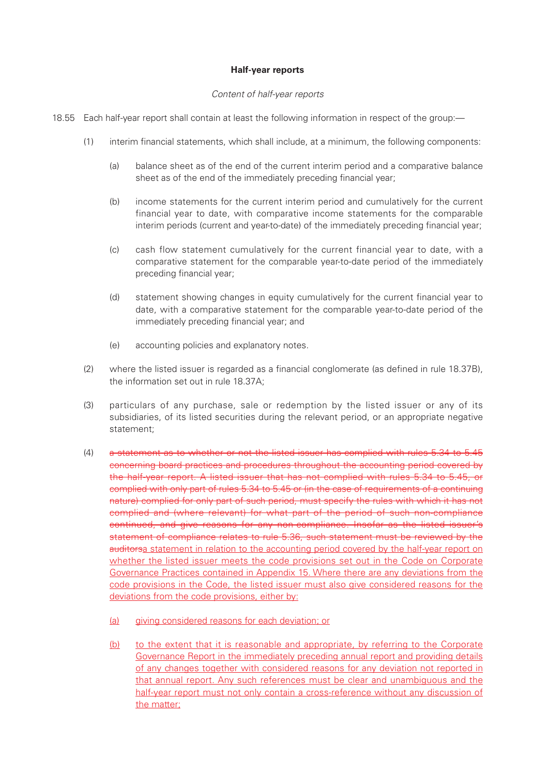#### **Half-year reports**

#### Content of half-year reports

- 18.55 Each half-year report shall contain at least the following information in respect of the group:—
	- (1) interim financial statements, which shall include, at a minimum, the following components:
		- (a) balance sheet as of the end of the current interim period and a comparative balance sheet as of the end of the immediately preceding financial year;
		- (b) income statements for the current interim period and cumulatively for the current financial year to date, with comparative income statements for the comparable interim periods (current and year-to-date) of the immediately preceding financial year;
		- (c) cash flow statement cumulatively for the current financial year to date, with a comparative statement for the comparable year-to-date period of the immediately preceding financial year;
		- (d) statement showing changes in equity cumulatively for the current financial year to date, with a comparative statement for the comparable year-to-date period of the immediately preceding financial year; and
		- (e) accounting policies and explanatory notes.
	- (2) where the listed issuer is regarded as a financial conglomerate (as defined in rule 18.37B), the information set out in rule 18.37A;
	- (3) particulars of any purchase, sale or redemption by the listed issuer or any of its subsidiaries, of its listed securities during the relevant period, or an appropriate negative statement;
	- (4) a statement as to whether or not the listed issuer has complied with rules 5.34 to 5.45 concerning board practices and procedures throughout the accounting period covered by the half-year report. A listed issuer that has not complied with rules 5.34 to 5.45, or complied with only part of rules 5.34 to 5.45 or (in the case of requirements of a continuing nature) complied for only part of such period, must specify the rules with which it has not complied and (where relevant) for what part of the period of such non-compliance continued, and give reasons for any non-compliance. Insofar as the listed issuer's statement of compliance relates to rule 5.36, such statement must be reviewed by the auditorsa statement in relation to the accounting period covered by the half-year report on whether the listed issuer meets the code provisions set out in the Code on Corporate Governance Practices contained in Appendix 15. Where there are any deviations from the code provisions in the Code, the listed issuer must also give considered reasons for the deviations from the code provisions, either by:
		- (a) giving considered reasons for each deviation; or
		- (b) to the extent that it is reasonable and appropriate, by referring to the Corporate Governance Report in the immediately preceding annual report and providing details of any changes together with considered reasons for any deviation not reported in that annual report. Any such references must be clear and unambiguous and the half-year report must not only contain a cross-reference without any discussion of the matter;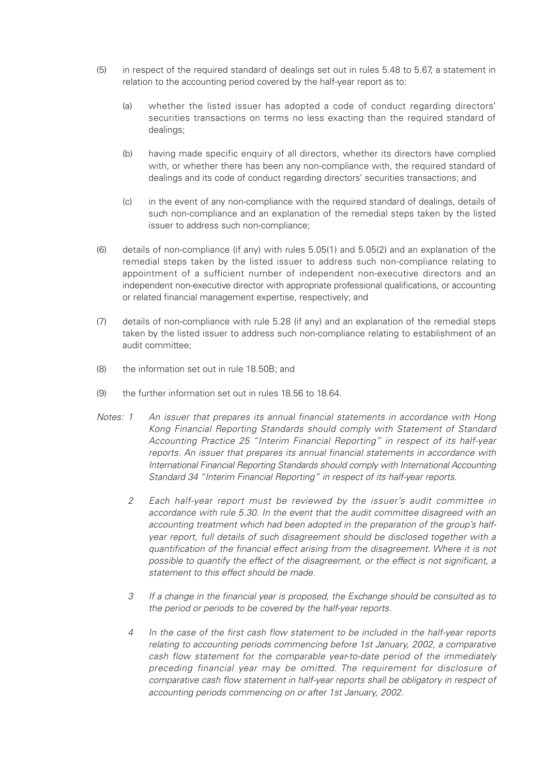- (5) in respect of the required standard of dealings set out in rules 5.48 to 5.67, a statement in relation to the accounting period covered by the half-year report as to:
	- (a) whether the listed issuer has adopted a code of conduct regarding directors' securities transactions on terms no less exacting than the required standard of dealings;
	- (b) having made specific enquiry of all directors, whether its directors have complied with, or whether there has been any non-compliance with, the required standard of dealings and its code of conduct regarding directors' securities transactions; and
	- (c) in the event of any non-compliance with the required standard of dealings, details of such non-compliance and an explanation of the remedial steps taken by the listed issuer to address such non-compliance;
- (6) details of non-compliance (if any) with rules 5.05(1) and 5.05(2) and an explanation of the remedial steps taken by the listed issuer to address such non-compliance relating to appointment of a sufficient number of independent non-executive directors and an independent non-executive director with appropriate professional qualifications, or accounting or related financial management expertise, respectively; and
- (7) details of non-compliance with rule 5.28 (if any) and an explanation of the remedial steps taken by the listed issuer to address such non-compliance relating to establishment of an audit committee;
- (8) the information set out in rule 18.50B; and
- (9) the further information set out in rules 18.56 to 18.64.
- Notes: 1 An issuer that prepares its annual financial statements in accordance with Hong Kong Financial Reporting Standards should comply with Statement of Standard Accounting Practice 25 "Interim Financial Reporting" in respect of its half-year reports. An issuer that prepares its annual financial statements in accordance with International Financial Reporting Standards should comply with International Accounting Standard 34 "Interim Financial Reporting" in respect of its half-year reports.
	- 2 Each half-year report must be reviewed by the issuer's audit committee in accordance with rule 5.30. In the event that the audit committee disagreed with an accounting treatment which had been adopted in the preparation of the group's halfyear report, full details of such disagreement should be disclosed together with a quantification of the financial effect arising from the disagreement. Where it is not possible to quantify the effect of the disagreement, or the effect is not significant, a statement to this effect should be made.
	- 3 If a change in the financial year is proposed, the Exchange should be consulted as to the period or periods to be covered by the half-year reports.
	- 4 In the case of the first cash flow statement to be included in the half-year reports relating to accounting periods commencing before 1st January, 2002, a comparative cash flow statement for the comparable year-to-date period of the immediately preceding financial year may be omitted. The requirement for disclosure of comparative cash flow statement in half-year reports shall be obligatory in respect of accounting periods commencing on or after 1st January, 2002.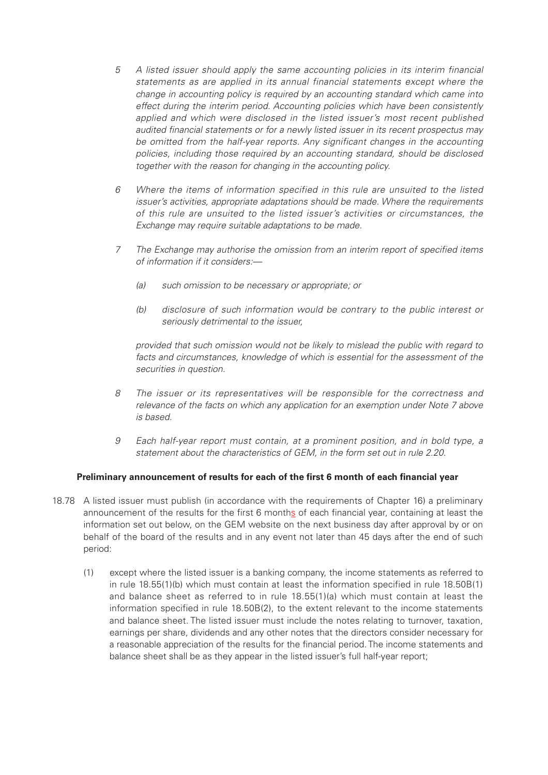- 5 A listed issuer should apply the same accounting policies in its interim financial statements as are applied in its annual financial statements except where the change in accounting policy is required by an accounting standard which came into effect during the interim period. Accounting policies which have been consistently applied and which were disclosed in the listed issuer's most recent published audited financial statements or for a newly listed issuer in its recent prospectus may be omitted from the half-year reports. Any significant changes in the accounting policies, including those required by an accounting standard, should be disclosed together with the reason for changing in the accounting policy.
- 6 Where the items of information specified in this rule are unsuited to the listed issuer's activities, appropriate adaptations should be made. Where the requirements of this rule are unsuited to the listed issuer's activities or circumstances, the Exchange may require suitable adaptations to be made.
- 7 The Exchange may authorise the omission from an interim report of specified items of information if it considers:—
	- (a) such omission to be necessary or appropriate; or
	- (b) disclosure of such information would be contrary to the public interest or seriously detrimental to the issuer,

provided that such omission would not be likely to mislead the public with regard to facts and circumstances, knowledge of which is essential for the assessment of the securities in question.

- 8 The issuer or its representatives will be responsible for the correctness and relevance of the facts on which any application for an exemption under Note 7 above is based.
- 9 Each half-year report must contain, at a prominent position, and in bold type, a statement about the characteristics of GEM, in the form set out in rule 2.20.

#### **Preliminary announcement of results for each of the first 6 month of each financial year**

- 18.78 A listed issuer must publish (in accordance with the requirements of Chapter 16) a preliminary announcement of the results for the first 6 months of each financial year, containing at least the information set out below, on the GEM website on the next business day after approval by or on behalf of the board of the results and in any event not later than 45 days after the end of such period:
	- (1) except where the listed issuer is a banking company, the income statements as referred to in rule 18.55(1)(b) which must contain at least the information specified in rule 18.50B(1) and balance sheet as referred to in rule 18.55(1)(a) which must contain at least the information specified in rule 18.50B(2), to the extent relevant to the income statements and balance sheet. The listed issuer must include the notes relating to turnover, taxation, earnings per share, dividends and any other notes that the directors consider necessary for a reasonable appreciation of the results for the financial period. The income statements and balance sheet shall be as they appear in the listed issuer's full half-year report;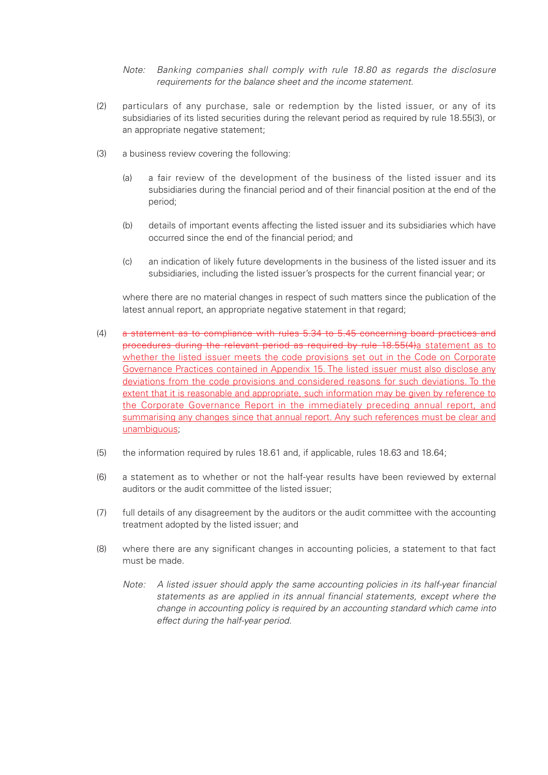Note: Banking companies shall comply with rule 18.80 as regards the disclosure requirements for the balance sheet and the income statement.

- (2) particulars of any purchase, sale or redemption by the listed issuer, or any of its subsidiaries of its listed securities during the relevant period as required by rule 18.55(3), or an appropriate negative statement;
- (3) a business review covering the following:
	- (a) a fair review of the development of the business of the listed issuer and its subsidiaries during the financial period and of their financial position at the end of the period;
	- (b) details of important events affecting the listed issuer and its subsidiaries which have occurred since the end of the financial period; and
	- (c) an indication of likely future developments in the business of the listed issuer and its subsidiaries, including the listed issuer's prospects for the current financial year; or

where there are no material changes in respect of such matters since the publication of the latest annual report, an appropriate negative statement in that regard;

- (4) a statement as to compliance with rules 5.34 to 5.45 concerning board practices and procedures during the relevant period as required by rule 18.55(4)a statement as to whether the listed issuer meets the code provisions set out in the Code on Corporate Governance Practices contained in Appendix 15. The listed issuer must also disclose any deviations from the code provisions and considered reasons for such deviations. To the extent that it is reasonable and appropriate, such information may be given by reference to the Corporate Governance Report in the immediately preceding annual report, and summarising any changes since that annual report. Any such references must be clear and unambiguous;
- (5) the information required by rules 18.61 and, if applicable, rules 18.63 and 18.64;
- (6) a statement as to whether or not the half-year results have been reviewed by external auditors or the audit committee of the listed issuer;
- (7) full details of any disagreement by the auditors or the audit committee with the accounting treatment adopted by the listed issuer; and
- (8) where there are any significant changes in accounting policies, a statement to that fact must be made.
	- Note: A listed issuer should apply the same accounting policies in its half-year financial statements as are applied in its annual financial statements, except where the change in accounting policy is required by an accounting standard which came into effect during the half-year period.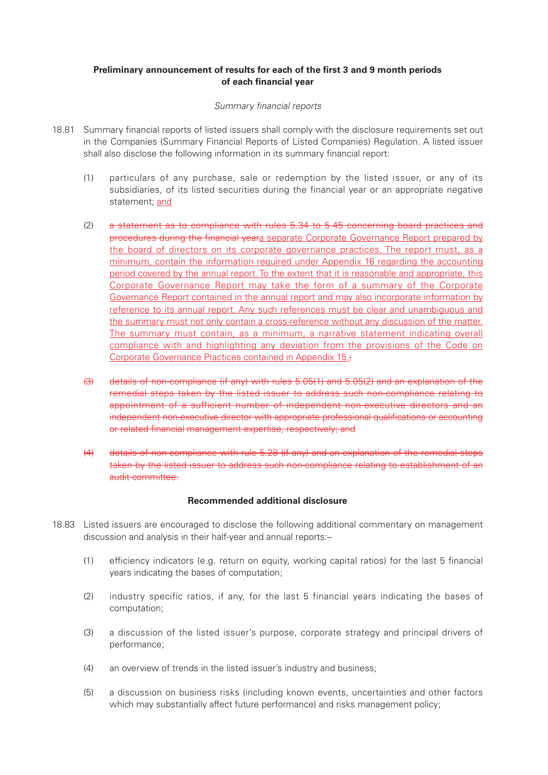#### **Preliminary announcement of results for each of the first 3 and 9 month periods of each financial year**

#### Summary financial reports

- 18.81 Summary financial reports of listed issuers shall comply with the disclosure requirements set out in the Companies (Summary Financial Reports of Listed Companies) Regulation. A listed issuer shall also disclose the following information in its summary financial report:
	- (1) particulars of any purchase, sale or redemption by the listed issuer, or any of its subsidiaries, of its listed securities during the financial year or an appropriate negative statement; and
	- (2) a statement as to compliance with rules 5.34 to 5.45 concerning board practices and procedures during the financial yeara separate Corporate Governance Report prepared by the board of directors on its corporate governance practices. The report must, as a minimum, contain the information required under Appendix 16 regarding the accounting period covered by the annual report. To the extent that it is reasonable and appropriate, this Corporate Governance Report may take the form of a summary of the Corporate Governance Report contained in the annual report and may also incorporate information by reference to its annual report. Any such references must be clear and unambiguous and the summary must not only contain a cross-reference without any discussion of the matter. The summary must contain, as a minimum, a narrative statement indicating overall compliance with and highlighting any deviation from the provisions of the Code on Corporate Governance Practices contained in Appendix 15.;
	- (3) details of non-compliance (if any) with rules 5.05(1) and 5.05(2) and an explanation of the remedial steps taken by the listed issuer to address such non-compliance relating to appointment of a sufficient number of independent non-executive directors and an independent non-executive director with appropriate professional qualifications or accounting or related financial management expertise, respectively; and
	- (4) details of non-compliance with rule 5.28 (if any) and an explanation of the remedial steps taken by the listed issuer to address such non-compliance relating to establishment of an audit committee.

#### **Recommended additional disclosure**

- 18.83 Listed issuers are encouraged to disclose the following additional commentary on management discussion and analysis in their half-year and annual reports:–
	- (1) efficiency indicators (e.g. return on equity, working capital ratios) for the last 5 financial years indicating the bases of computation;
	- (2) industry specific ratios, if any, for the last 5 financial years indicating the bases of computation;
	- (3) a discussion of the listed issuer's purpose, corporate strategy and principal drivers of performance;
	- (4) an overview of trends in the listed issuer's industry and business;
	- (5) a discussion on business risks (including known events, uncertainties and other factors which may substantially affect future performance) and risks management policy;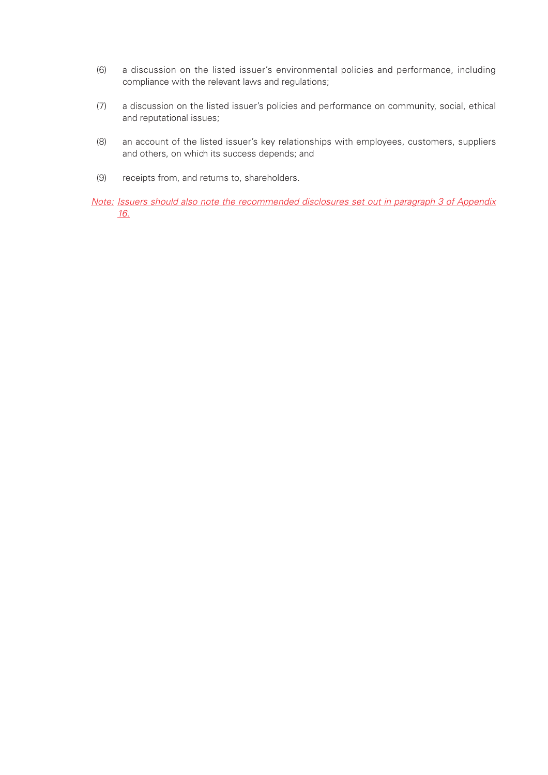- (6) a discussion on the listed issuer's environmental policies and performance, including compliance with the relevant laws and regulations;
- (7) a discussion on the listed issuer's policies and performance on community, social, ethical and reputational issues;
- (8) an account of the listed issuer's key relationships with employees, customers, suppliers and others, on which its success depends; and
- (9) receipts from, and returns to, shareholders.

Note: Issuers should also note the recommended disclosures set out in paragraph 3 of Appendix 16.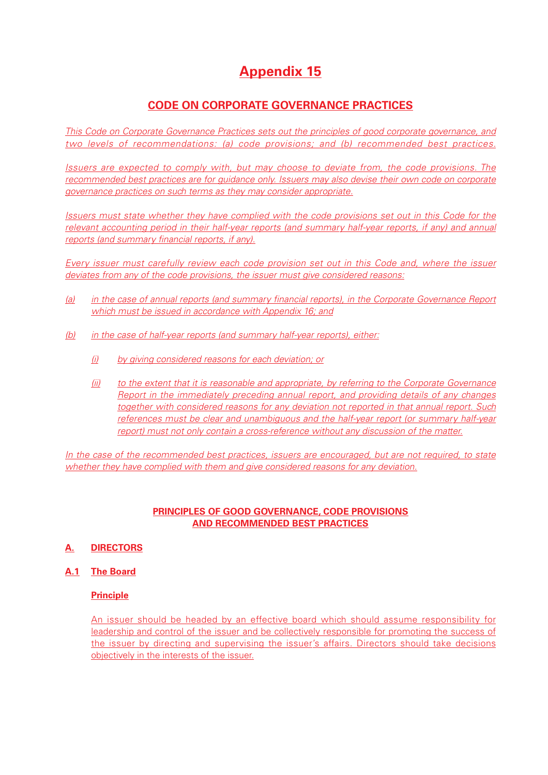# **Appendix 15**

# **CODE ON CORPORATE GOVERNANCE PRACTICES**

This Code on Corporate Governance Practices sets out the principles of good corporate governance, and two levels of recommendations: (a) code provisions; and (b) recommended best practices.

Issuers are expected to comply with, but may choose to deviate from, the code provisions. The recommended best practices are for guidance only. Issuers may also devise their own code on corporate governance practices on such terms as they may consider appropriate.

Issuers must state whether they have complied with the code provisions set out in this Code for the relevant accounting period in their half-year reports (and summary half-year reports, if any) and annual reports (and summary financial reports, if any).

Every issuer must carefully review each code provision set out in this Code and, where the issuer deviates from any of the code provisions, the issuer must give considered reasons:

- (a) in the case of annual reports (and summary financial reports), in the Corporate Governance Report which must be issued in accordance with Appendix 16; and
- (b) in the case of half-year reports (and summary half-year reports), either:
	- (i) by giving considered reasons for each deviation; or
	- (ii) to the extent that it is reasonable and appropriate, by referring to the Corporate Governance Report in the immediately preceding annual report, and providing details of any changes together with considered reasons for any deviation not reported in that annual report. Such references must be clear and unambiguous and the half-year report (or summary half-year report) must not only contain a cross-reference without any discussion of the matter.

In the case of the recommended best practices, issuers are encouraged, but are not required, to state whether they have complied with them and give considered reasons for any deviation.

# **PRINCIPLES OF GOOD GOVERNANCE, CODE PROVISIONS AND RECOMMENDED BEST PRACTICES**

# **A. DIRECTORS**

**A.1 The Board**

#### **Principle**

An issuer should be headed by an effective board which should assume responsibility for leadership and control of the issuer and be collectively responsible for promoting the success of the issuer by directing and supervising the issuer's affairs. Directors should take decisions objectively in the interests of the issuer.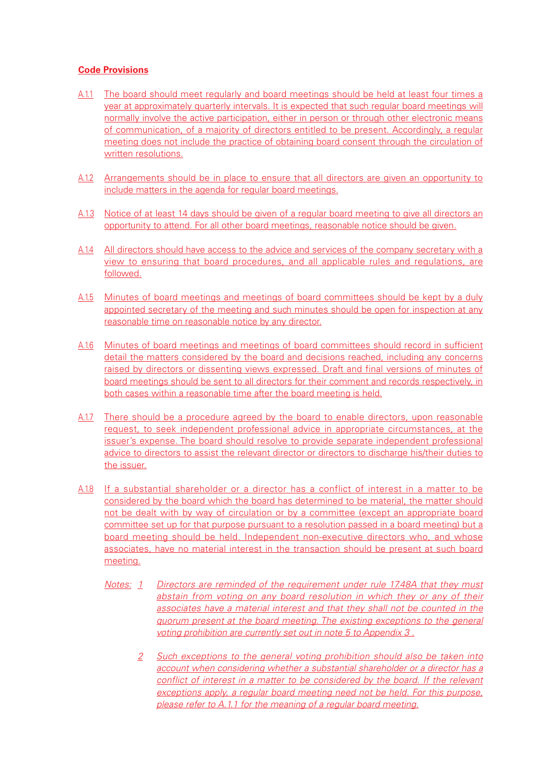- A.1.1 The board should meet regularly and board meetings should be held at least four times a year at approximately quarterly intervals. It is expected that such regular board meetings will normally involve the active participation, either in person or through other electronic means of communication, of a majority of directors entitled to be present. Accordingly, a regular meeting does not include the practice of obtaining board consent through the circulation of written resolutions.
- A.1.2 Arrangements should be in place to ensure that all directors are given an opportunity to include matters in the agenda for regular board meetings.
- A.1.3 Notice of at least 14 days should be given of a regular board meeting to give all directors an opportunity to attend. For all other board meetings, reasonable notice should be given.
- A.1.4 All directors should have access to the advice and services of the company secretary with a view to ensuring that board procedures, and all applicable rules and regulations, are followed.
- A.1.5 Minutes of board meetings and meetings of board committees should be kept by a duly appointed secretary of the meeting and such minutes should be open for inspection at any reasonable time on reasonable notice by any director.
- A.1.6 Minutes of board meetings and meetings of board committees should record in sufficient detail the matters considered by the board and decisions reached, including any concerns raised by directors or dissenting views expressed. Draft and final versions of minutes of board meetings should be sent to all directors for their comment and records respectively, in both cases within a reasonable time after the board meeting is held.
- A.1.7 There should be a procedure agreed by the board to enable directors, upon reasonable request, to seek independent professional advice in appropriate circumstances, at the issuer's expense. The board should resolve to provide separate independent professional advice to directors to assist the relevant director or directors to discharge his/their duties to the issuer.
- A.1.8 If a substantial shareholder or a director has a conflict of interest in a matter to be considered by the board which the board has determined to be material, the matter should not be dealt with by way of circulation or by a committee (except an appropriate board committee set up for that purpose pursuant to a resolution passed in a board meeting) but a board meeting should be held. Independent non-executive directors who, and whose associates, have no material interest in the transaction should be present at such board meeting.
	- Notes: 1 Directors are reminded of the requirement under rule 17.48A that they must abstain from voting on any board resolution in which they or any of their associates have a material interest and that they shall not be counted in the quorum present at the board meeting. The existing exceptions to the general voting prohibition are currently set out in note 5 to Appendix 3 .
		- 2 Such exceptions to the general voting prohibition should also be taken into account when considering whether a substantial shareholder or a director has a conflict of interest in a matter to be considered by the board. If the relevant exceptions apply, a regular board meeting need not be held. For this purpose, please refer to A.1.1 for the meaning of a regular board meeting.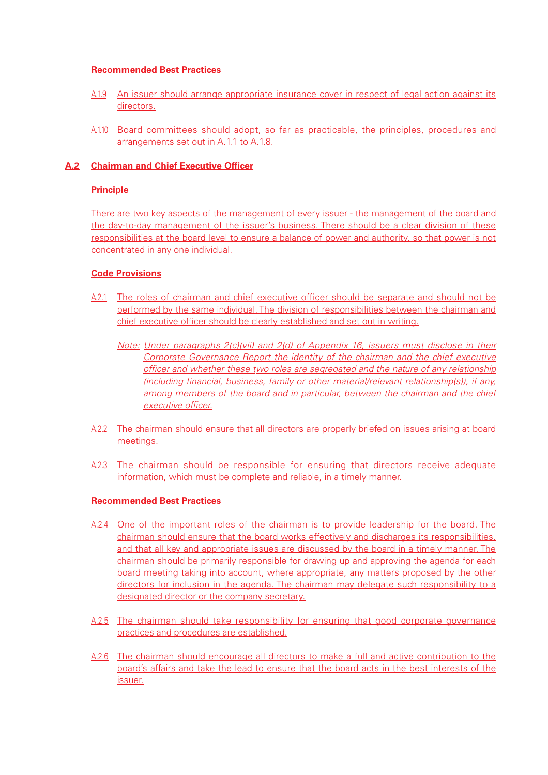#### **Recommended Best Practices**

- A.1.9 An issuer should arrange appropriate insurance cover in respect of legal action against its directors.
- A.1.10 Board committees should adopt, so far as practicable, the principles, procedures and arrangements set out in A.1.1 to A.1.8.

## **A.2 Chairman and Chief Executive Officer**

## **Principle**

There are two key aspects of the management of every issuer - the management of the board and the day-to-day management of the issuer's business. There should be a clear division of these responsibilities at the board level to ensure a balance of power and authority, so that power is not concentrated in any one individual.

## **Code Provisions**

- A.2.1 The roles of chairman and chief executive officer should be separate and should not be performed by the same individual. The division of responsibilities between the chairman and chief executive officer should be clearly established and set out in writing.
	- Note: Under paragraphs 2(c)(vii) and 2(d) of Appendix 16, issuers must disclose in their Corporate Governance Report the identity of the chairman and the chief executive officer and whether these two roles are segregated and the nature of any relationship (including financial, business, family or other material/relevant relationship(s)), if any, among members of the board and in particular, between the chairman and the chief executive officer.
- A.2.2 The chairman should ensure that all directors are properly briefed on issues arising at board meetings.
- A.2.3 The chairman should be responsible for ensuring that directors receive adequate information, which must be complete and reliable, in a timely manner.

#### **Recommended Best Practices**

- A.2.4 One of the important roles of the chairman is to provide leadership for the board. The chairman should ensure that the board works effectively and discharges its responsibilities, and that all key and appropriate issues are discussed by the board in a timely manner. The chairman should be primarily responsible for drawing up and approving the agenda for each board meeting taking into account, where appropriate, any matters proposed by the other directors for inclusion in the agenda. The chairman may delegate such responsibility to a designated director or the company secretary.
- A.2.5 The chairman should take responsibility for ensuring that good corporate governance practices and procedures are established.
- A.2.6 The chairman should encourage all directors to make a full and active contribution to the board's affairs and take the lead to ensure that the board acts in the best interests of the issuer.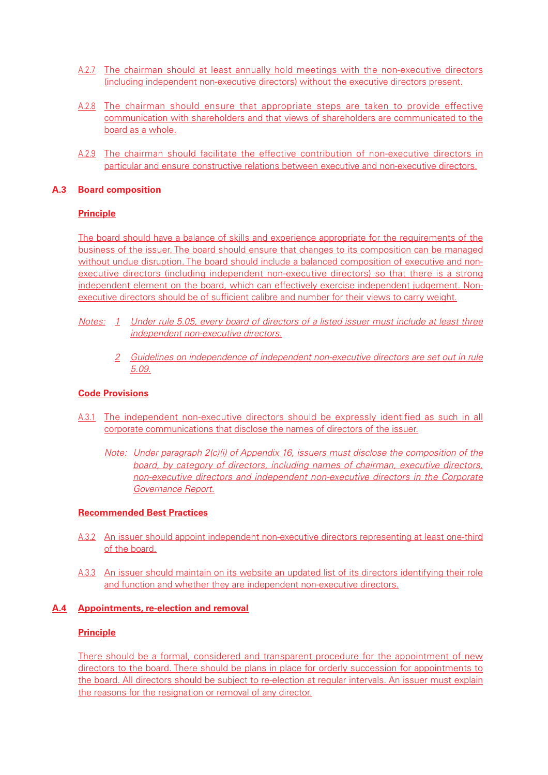- A.2.7 The chairman should at least annually hold meetings with the non-executive directors (including independent non-executive directors) without the executive directors present.
- A.2.8 The chairman should ensure that appropriate steps are taken to provide effective communication with shareholders and that views of shareholders are communicated to the board as a whole.
- A.2.9 The chairman should facilitate the effective contribution of non-executive directors in particular and ensure constructive relations between executive and non-executive directors.

## **A.3 Board composition**

## **Principle**

The board should have a balance of skills and experience appropriate for the requirements of the business of the issuer. The board should ensure that changes to its composition can be managed without undue disruption. The board should include a balanced composition of executive and nonexecutive directors (including independent non-executive directors) so that there is a strong independent element on the board, which can effectively exercise independent judgement. Nonexecutive directors should be of sufficient calibre and number for their views to carry weight.

- Notes: 1 Under rule 5.05, every board of directors of a listed issuer must include at least three independent non-executive directors.
	- 2 Guidelines on independence of independent non-executive directors are set out in rule 5.09.

#### **Code Provisions**

- A.3.1 The independent non-executive directors should be expressly identified as such in all corporate communications that disclose the names of directors of the issuer.
	- Note: Under paragraph 2(c)(i) of Appendix 16, issuers must disclose the composition of the board, by category of directors, including names of chairman, executive directors, non-executive directors and independent non-executive directors in the Corporate Governance Report.

#### **Recommended Best Practices**

- A.3.2 An issuer should appoint independent non-executive directors representing at least one-third of the board.
- A.3.3 An issuer should maintain on its website an updated list of its directors identifying their role and function and whether they are independent non-executive directors.

#### **A.4 Appointments, re-election and removal**

#### **Principle**

There should be a formal, considered and transparent procedure for the appointment of new directors to the board. There should be plans in place for orderly succession for appointments to the board. All directors should be subject to re-election at regular intervals. An issuer must explain the reasons for the resignation or removal of any director.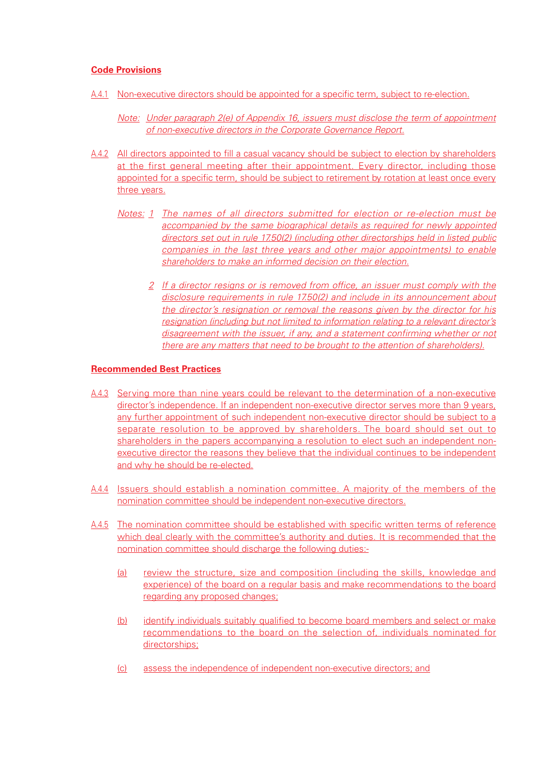#### **Code Provisions**

- A.4.1 Non-executive directors should be appointed for a specific term, subject to re-election.
	- Note: Under paragraph 2(e) of Appendix 16, issuers must disclose the term of appointment of non-executive directors in the Corporate Governance Report.
- A.4.2 All directors appointed to fill a casual vacancy should be subject to election by shareholders at the first general meeting after their appointment. Every director, including those appointed for a specific term, should be subject to retirement by rotation at least once every three years.
	- Notes: 1 The names of all directors submitted for election or re-election must be accompanied by the same biographical details as required for newly appointed directors set out in rule 17.50(2) (including other directorships held in listed public companies in the last three years and other major appointments) to enable shareholders to make an informed decision on their election.
		- 2 If a director resigns or is removed from office, an issuer must comply with the disclosure requirements in rule 17.50(2) and include in its announcement about the director's resignation or removal the reasons given by the director for his resignation (including but not limited to information relating to a relevant director's disagreement with the issuer, if any, and a statement confirming whether or not there are any matters that need to be brought to the attention of shareholders).

#### **Recommended Best Practices**

- A.4.3 Serving more than nine years could be relevant to the determination of a non-executive director's independence. If an independent non-executive director serves more than 9 years, any further appointment of such independent non-executive director should be subject to a separate resolution to be approved by shareholders. The board should set out to shareholders in the papers accompanying a resolution to elect such an independent nonexecutive director the reasons they believe that the individual continues to be independent and why he should be re-elected.
- A.4.4 Issuers should establish a nomination committee. A majority of the members of the nomination committee should be independent non-executive directors.
- A.4.5 The nomination committee should be established with specific written terms of reference which deal clearly with the committee's authority and duties. It is recommended that the nomination committee should discharge the following duties:-
	- (a) review the structure, size and composition (including the skills, knowledge and experience) of the board on a regular basis and make recommendations to the board regarding any proposed changes;
	- (b) identify individuals suitably qualified to become board members and select or make recommendations to the board on the selection of, individuals nominated for directorships;
	- (c) assess the independence of independent non-executive directors; and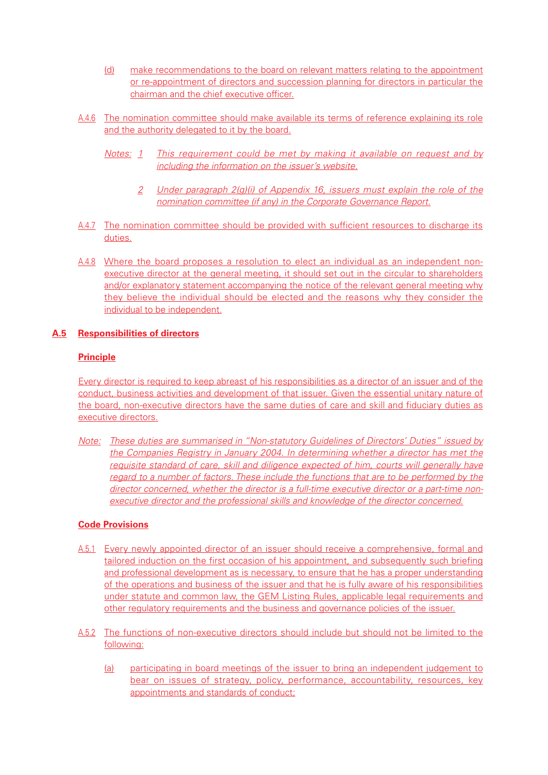- (d) make recommendations to the board on relevant matters relating to the appointment or re-appointment of directors and succession planning for directors in particular the chairman and the chief executive officer.
- A.4.6 The nomination committee should make available its terms of reference explaining its role and the authority delegated to it by the board.
	- Notes: 1 This requirement could be met by making it available on request and by including the information on the issuer's website.
		- 2 Under paragraph 2(g)(i) of Appendix 16, issuers must explain the role of the nomination committee (if any) in the Corporate Governance Report.
- A.4.7 The nomination committee should be provided with sufficient resources to discharge its duties.
- A.4.8 Where the board proposes a resolution to elect an individual as an independent nonexecutive director at the general meeting, it should set out in the circular to shareholders and/or explanatory statement accompanying the notice of the relevant general meeting why they believe the individual should be elected and the reasons why they consider the individual to be independent.

## **A.5 Responsibilities of directors**

## **Principle**

Every director is required to keep abreast of his responsibilities as a director of an issuer and of the conduct, business activities and development of that issuer. Given the essential unitary nature of the board, non-executive directors have the same duties of care and skill and fiduciary duties as executive directors.

Note: These duties are summarised in "Non-statutory Guidelines of Directors' Duties" issued by the Companies Registry in January 2004. In determining whether a director has met the requisite standard of care, skill and diligence expected of him, courts will generally have regard to a number of factors. These include the functions that are to be performed by the director concerned, whether the director is a full-time executive director or a part-time nonexecutive director and the professional skills and knowledge of the director concerned.

- A.5.1 Every newly appointed director of an issuer should receive a comprehensive, formal and tailored induction on the first occasion of his appointment, and subsequently such briefing and professional development as is necessary, to ensure that he has a proper understanding of the operations and business of the issuer and that he is fully aware of his responsibilities under statute and common law, the GEM Listing Rules, applicable legal requirements and other regulatory requirements and the business and governance policies of the issuer.
- A.5.2 The functions of non-executive directors should include but should not be limited to the following:
	- (a) participating in board meetings of the issuer to bring an independent judgement to bear on issues of strategy, policy, performance, accountability, resources, key appointments and standards of conduct;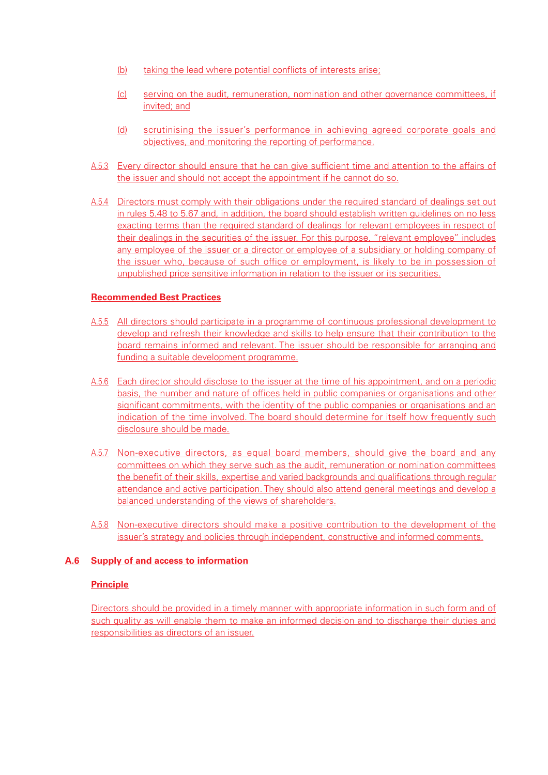- (b) taking the lead where potential conflicts of interests arise;
- (c) serving on the audit, remuneration, nomination and other governance committees, if invited; and
- (d) scrutinising the issuer's performance in achieving agreed corporate goals and objectives, and monitoring the reporting of performance.
- A.5.3 Every director should ensure that he can give sufficient time and attention to the affairs of the issuer and should not accept the appointment if he cannot do so.
- A.5.4 Directors must comply with their obligations under the required standard of dealings set out in rules 5.48 to 5.67 and, in addition, the board should establish written guidelines on no less exacting terms than the required standard of dealings for relevant employees in respect of their dealings in the securities of the issuer. For this purpose, "relevant employee" includes any employee of the issuer or a director or employee of a subsidiary or holding company of the issuer who, because of such office or employment, is likely to be in possession of unpublished price sensitive information in relation to the issuer or its securities.

## **Recommended Best Practices**

- A.5.5 All directors should participate in a programme of continuous professional development to develop and refresh their knowledge and skills to help ensure that their contribution to the board remains informed and relevant. The issuer should be responsible for arranging and funding a suitable development programme.
- A.5.6 Each director should disclose to the issuer at the time of his appointment, and on a periodic basis, the number and nature of offices held in public companies or organisations and other significant commitments, with the identity of the public companies or organisations and an indication of the time involved. The board should determine for itself how frequently such disclosure should be made.
- A.5.7 Non-executive directors, as equal board members, should give the board and any committees on which they serve such as the audit, remuneration or nomination committees the benefit of their skills, expertise and varied backgrounds and qualifications through regular attendance and active participation. They should also attend general meetings and develop a balanced understanding of the views of shareholders.
- A.5.8 Non-executive directors should make a positive contribution to the development of the issuer's strategy and policies through independent, constructive and informed comments.

#### **A.6 Supply of and access to information**

#### **Principle**

Directors should be provided in a timely manner with appropriate information in such form and of such quality as will enable them to make an informed decision and to discharge their duties and responsibilities as directors of an issuer.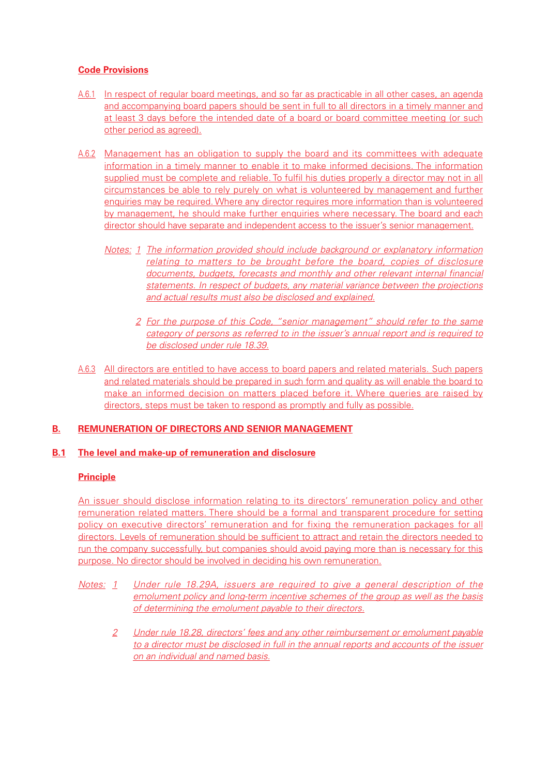# **Code Provisions**

- A.6.1 In respect of regular board meetings, and so far as practicable in all other cases, an agenda and accompanying board papers should be sent in full to all directors in a timely manner and at least 3 days before the intended date of a board or board committee meeting (or such other period as agreed).
- A.6.2 Management has an obligation to supply the board and its committees with adequate information in a timely manner to enable it to make informed decisions. The information supplied must be complete and reliable. To fulfil his duties properly a director may not in all circumstances be able to rely purely on what is volunteered by management and further enquiries may be required. Where any director requires more information than is volunteered by management, he should make further enquiries where necessary. The board and each director should have separate and independent access to the issuer's senior management.
	- Notes: 1 The information provided should include background or explanatory information relating to matters to be brought before the board, copies of disclosure documents, budgets, forecasts and monthly and other relevant internal financial statements. In respect of budgets, any material variance between the projections and actual results must also be disclosed and explained.
		- 2 For the purpose of this Code, "senior management" should refer to the same category of persons as referred to in the issuer's annual report and is required to be disclosed under rule 18.39.
- A.6.3 All directors are entitled to have access to board papers and related materials. Such papers and related materials should be prepared in such form and quality as will enable the board to make an informed decision on matters placed before it. Where queries are raised by directors, steps must be taken to respond as promptly and fully as possible.

# **B. REMUNERATION OF DIRECTORS AND SENIOR MANAGEMENT**

#### **B.1 The level and make-up of remuneration and disclosure**

#### **Principle**

An issuer should disclose information relating to its directors' remuneration policy and other remuneration related matters. There should be a formal and transparent procedure for setting policy on executive directors' remuneration and for fixing the remuneration packages for all directors. Levels of remuneration should be sufficient to attract and retain the directors needed to run the company successfully, but companies should avoid paying more than is necessary for this purpose. No director should be involved in deciding his own remuneration.

- Notes: 1 Under rule 18.29A, issuers are required to give a general description of the emolument policy and long-term incentive schemes of the group as well as the basis of determining the emolument payable to their directors.
	- 2 Under rule 18.28, directors' fees and any other reimbursement or emolument payable to a director must be disclosed in full in the annual reports and accounts of the issuer on an individual and named basis.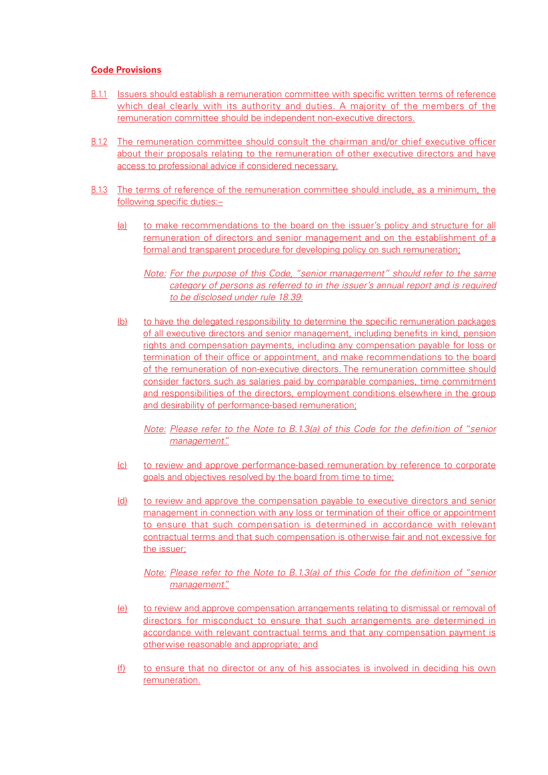#### **Code Provisions**

- B.1.1 Issuers should establish a remuneration committee with specific written terms of reference which deal clearly with its authority and duties. A majority of the members of the remuneration committee should be independent non-executive directors.
- B.1.2 The remuneration committee should consult the chairman and/or chief executive officer about their proposals relating to the remuneration of other executive directors and have access to professional advice if considered necessary.
- B.1.3 The terms of reference of the remuneration committee should include, as a minimum, the following specific duties:–
	- (a) to make recommendations to the board on the issuer's policy and structure for all remuneration of directors and senior management and on the establishment of a formal and transparent procedure for developing policy on such remuneration;
		- Note: For the purpose of this Code, "senior management" should refer to the same category of persons as referred to in the issuer's annual report and is required to be disclosed under rule 18.39.
	- (b) to have the delegated responsibility to determine the specific remuneration packages of all executive directors and senior management, including benefits in kind, pension rights and compensation payments, including any compensation payable for loss or termination of their office or appointment, and make recommendations to the board of the remuneration of non-executive directors. The remuneration committee should consider factors such as salaries paid by comparable companies, time commitment and responsibilities of the directors, employment conditions elsewhere in the group and desirability of performance-based remuneration;
		- Note: Please refer to the Note to B.1.3(a) of this Code for the definition of "senior management".
	- (c) to review and approve performance-based remuneration by reference to corporate goals and objectives resolved by the board from time to time;
	- (d) to review and approve the compensation payable to executive directors and senior management in connection with any loss or termination of their office or appointment to ensure that such compensation is determined in accordance with relevant contractual terms and that such compensation is otherwise fair and not excessive for the issuer;

Note: Please refer to the Note to B.1.3(a) of this Code for the definition of "senior management".

- (e) to review and approve compensation arrangements relating to dismissal or removal of directors for misconduct to ensure that such arrangements are determined in accordance with relevant contractual terms and that any compensation payment is otherwise reasonable and appropriate; and
- (f) to ensure that no director or any of his associates is involved in deciding his own remuneration.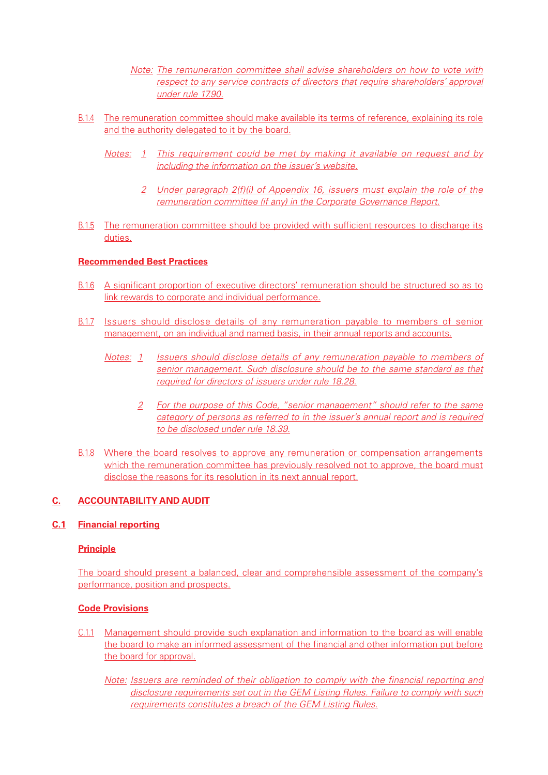Note: The remuneration committee shall advise shareholders on how to vote with respect to any service contracts of directors that require shareholders' approval under rule 17.90.

- B.1.4 The remuneration committee should make available its terms of reference, explaining its role and the authority delegated to it by the board.
	- Notes: 1 This requirement could be met by making it available on request and by including the information on the issuer's website.
		- 2 Under paragraph 2(f)(i) of Appendix 16, issuers must explain the role of the remuneration committee (if any) in the Corporate Governance Report.
- B.1.5 The remuneration committee should be provided with sufficient resources to discharge its duties.

## **Recommended Best Practices**

- B.1.6 A significant proportion of executive directors' remuneration should be structured so as to link rewards to corporate and individual performance.
- B.1.7 Issuers should disclose details of any remuneration payable to members of senior management, on an individual and named basis, in their annual reports and accounts.
	- Notes: 1 Issuers should disclose details of any remuneration payable to members of senior management. Such disclosure should be to the same standard as that required for directors of issuers under rule 18.28.
		- 2 For the purpose of this Code, "senior management" should refer to the same category of persons as referred to in the issuer's annual report and is required to be disclosed under rule 18.39.
- B.1.8 Where the board resolves to approve any remuneration or compensation arrangements which the remuneration committee has previously resolved not to approve, the board must disclose the reasons for its resolution in its next annual report.

## **C. ACCOUNTABILITY AND AUDIT**

#### **C.1 Financial reporting**

#### **Principle**

The board should present a balanced, clear and comprehensible assessment of the company's performance, position and prospects.

#### **Code Provisions**

C.1.1 Management should provide such explanation and information to the board as will enable the board to make an informed assessment of the financial and other information put before the board for approval.

Note: Issuers are reminded of their obligation to comply with the financial reporting and disclosure requirements set out in the GEM Listing Rules. Failure to comply with such requirements constitutes a breach of the GEM Listing Rules.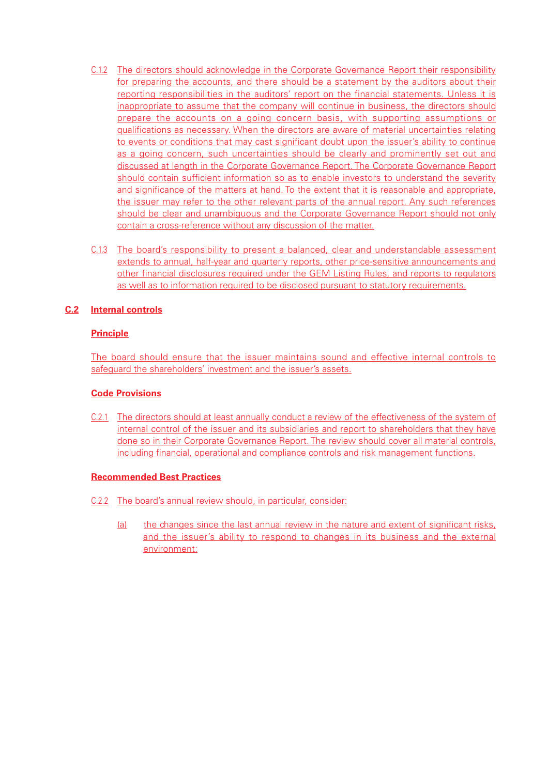- C.1.2 The directors should acknowledge in the Corporate Governance Report their responsibility for preparing the accounts, and there should be a statement by the auditors about their reporting responsibilities in the auditors' report on the financial statements. Unless it is inappropriate to assume that the company will continue in business, the directors should prepare the accounts on a going concern basis, with supporting assumptions or qualifications as necessary. When the directors are aware of material uncertainties relating to events or conditions that may cast significant doubt upon the issuer's ability to continue as a going concern, such uncertainties should be clearly and prominently set out and discussed at length in the Corporate Governance Report. The Corporate Governance Report should contain sufficient information so as to enable investors to understand the severity and significance of the matters at hand. To the extent that it is reasonable and appropriate, the issuer may refer to the other relevant parts of the annual report. Any such references should be clear and unambiguous and the Corporate Governance Report should not only contain a cross-reference without any discussion of the matter.
- C.1.3 The board's responsibility to present a balanced, clear and understandable assessment extends to annual, half-year and quarterly reports, other price-sensitive announcements and other financial disclosures required under the GEM Listing Rules, and reports to regulators as well as to information required to be disclosed pursuant to statutory requirements.

# **C.2 Internal controls**

# **Principle**

The board should ensure that the issuer maintains sound and effective internal controls to safeguard the shareholders' investment and the issuer's assets.

#### **Code Provisions**

C.2.1 The directors should at least annually conduct a review of the effectiveness of the system of internal control of the issuer and its subsidiaries and report to shareholders that they have done so in their Corporate Governance Report. The review should cover all material controls, including financial, operational and compliance controls and risk management functions.

#### **Recommended Best Practices**

- C.2.2 The board's annual review should, in particular, consider:
	- (a) the changes since the last annual review in the nature and extent of significant risks, and the issuer's ability to respond to changes in its business and the external environment;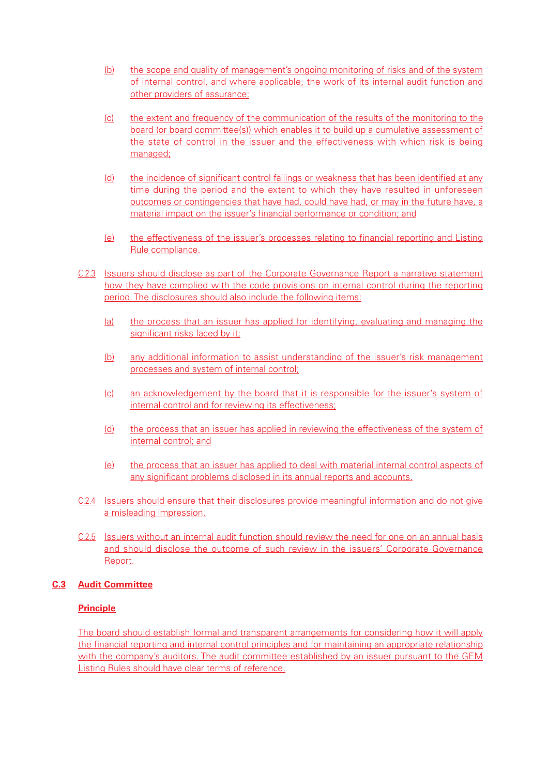- (b) the scope and quality of management's ongoing monitoring of risks and of the system of internal control, and where applicable, the work of its internal audit function and other providers of assurance;
- (c) the extent and frequency of the communication of the results of the monitoring to the board (or board committee(s)) which enables it to build up a cumulative assessment of the state of control in the issuer and the effectiveness with which risk is being managed;
- (d) the incidence of significant control failings or weakness that has been identified at any time during the period and the extent to which they have resulted in unforeseen outcomes or contingencies that have had, could have had, or may in the future have, a material impact on the issuer's financial performance or condition; and
- (e) the effectiveness of the issuer's processes relating to financial reporting and Listing Rule compliance.
- C.2.3 Issuers should disclose as part of the Corporate Governance Report a narrative statement how they have complied with the code provisions on internal control during the reporting period. The disclosures should also include the following items:
	- (a) the process that an issuer has applied for identifying, evaluating and managing the significant risks faced by it;
	- (b) any additional information to assist understanding of the issuer's risk management processes and system of internal control;
	- (c) an acknowledgement by the board that it is responsible for the issuer's system of internal control and for reviewing its effectiveness;
	- (d) the process that an issuer has applied in reviewing the effectiveness of the system of internal control; and
	- (e) the process that an issuer has applied to deal with material internal control aspects of any significant problems disclosed in its annual reports and accounts.
- C.2.4 Issuers should ensure that their disclosures provide meaningful information and do not give a misleading impression.
- C.2.5 Issuers without an internal audit function should review the need for one on an annual basis and should disclose the outcome of such review in the issuers' Corporate Governance Report.

# **C.3 Audit Committee**

# **Principle**

The board should establish formal and transparent arrangements for considering how it will apply the financial reporting and internal control principles and for maintaining an appropriate relationship with the company's auditors. The audit committee established by an issuer pursuant to the GEM Listing Rules should have clear terms of reference.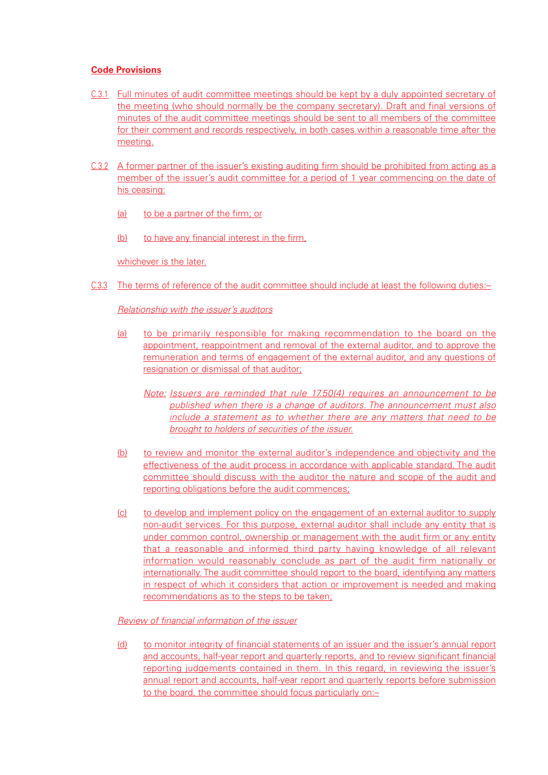#### **Code Provisions**

- C.3.1 Full minutes of audit committee meetings should be kept by a duly appointed secretary of the meeting (who should normally be the company secretary). Draft and final versions of minutes of the audit committee meetings should be sent to all members of the committee for their comment and records respectively, in both cases within a reasonable time after the meeting.
- C.3.2 A former partner of the issuer's existing auditing firm should be prohibited from acting as a member of the issuer's audit committee for a period of 1 year commencing on the date of his ceasing:
	- (a) to be a partner of the firm; or
	- (b) to have any financial interest in the firm,

whichever is the later.

C.3.3 The terms of reference of the audit committee should include at least the following duties:–

## Relationship with the issuer's auditors

- (a) to be primarily responsible for making recommendation to the board on the appointment, reappointment and removal of the external auditor, and to approve the remuneration and terms of engagement of the external auditor, and any questions of resignation or dismissal of that auditor;
	- Note: Issuers are reminded that rule 17.50(4) requires an announcement to be published when there is a change of auditors. The announcement must also include a statement as to whether there are any matters that need to be brought to holders of securities of the issuer.
- (b) to review and monitor the external auditor's independence and objectivity and the effectiveness of the audit process in accordance with applicable standard. The audit committee should discuss with the auditor the nature and scope of the audit and reporting obligations before the audit commences;
- (c) to develop and implement policy on the engagement of an external auditor to supply non-audit services. For this purpose, external auditor shall include any entity that is under common control, ownership or management with the audit firm or any entity that a reasonable and informed third party having knowledge of all relevant information would reasonably conclude as part of the audit firm nationally or internationally. The audit committee should report to the board, identifying any matters in respect of which it considers that action or improvement is needed and making recommendations as to the steps to be taken;

#### Review of financial information of the issuer

(d) to monitor integrity of financial statements of an issuer and the issuer's annual report and accounts, half-year report and quarterly reports, and to review significant financial reporting judgements contained in them. In this regard, in reviewing the issuer's annual report and accounts, half-year report and quarterly reports before submission to the board, the committee should focus particularly on:–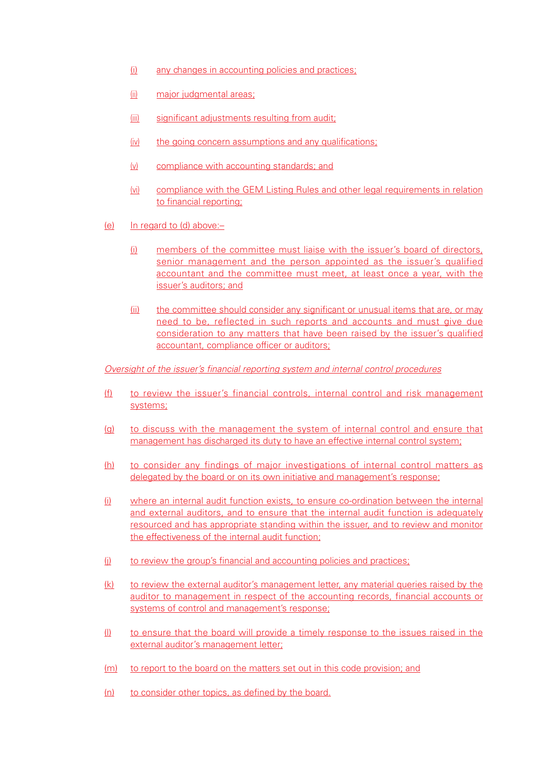- (i) any changes in accounting policies and practices;
- (ii) major judgmental areas;
- (iii) significant adjustments resulting from audit;
- (iv) the going concern assumptions and any qualifications;
- (v) compliance with accounting standards; and
- (vi) compliance with the GEM Listing Rules and other legal requirements in relation to financial reporting;
- (e) In regard to (d) above:–
	- (i) members of the committee must liaise with the issuer's board of directors, senior management and the person appointed as the issuer's qualified accountant and the committee must meet, at least once a year, with the issuer's auditors; and
	- (ii) the committee should consider any significant or unusual items that are, or may need to be, reflected in such reports and accounts and must give due consideration to any matters that have been raised by the issuer's qualified accountant, compliance officer or auditors;

Oversight of the issuer's financial reporting system and internal control procedures

- (f) to review the issuer's financial controls, internal control and risk management systems;
- (g) to discuss with the management the system of internal control and ensure that management has discharged its duty to have an effective internal control system;
- (h) to consider any findings of major investigations of internal control matters as delegated by the board or on its own initiative and management's response;
- (i) where an internal audit function exists, to ensure co-ordination between the internal and external auditors, and to ensure that the internal audit function is adequately resourced and has appropriate standing within the issuer, and to review and monitor the effectiveness of the internal audit function;
- (j) to review the group's financial and accounting policies and practices;
- (k) to review the external auditor's management letter, any material queries raised by the auditor to management in respect of the accounting records, financial accounts or systems of control and management's response;
- (l) to ensure that the board will provide a timely response to the issues raised in the external auditor's management letter;
- (m) to report to the board on the matters set out in this code provision; and
- (n) to consider other topics, as defined by the board.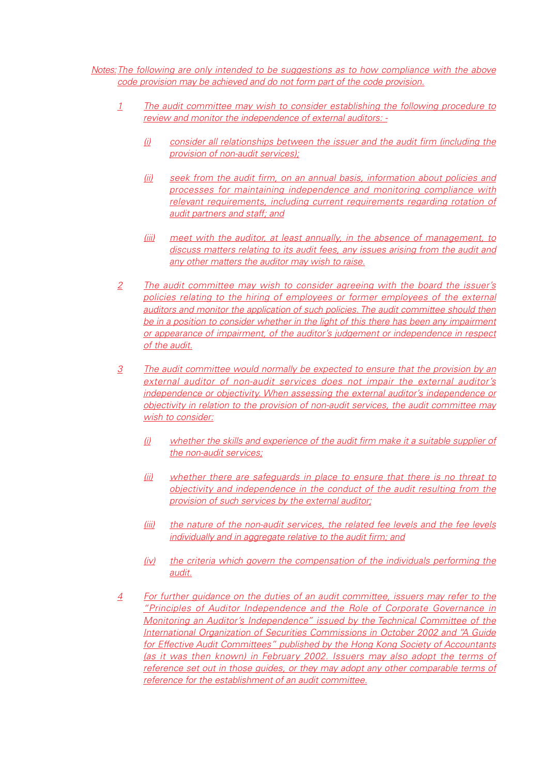Notes:The following are only intended to be suggestions as to how compliance with the above code provision may be achieved and do not form part of the code provision.

- 1 The audit committee may wish to consider establishing the following procedure to review and monitor the independence of external auditors: -
	- (i) consider all relationships between the issuer and the audit firm (including the provision of non-audit services);
	- (ii) seek from the audit firm, on an annual basis, information about policies and processes for maintaining independence and monitoring compliance with relevant requirements, including current requirements regarding rotation of audit partners and staff; and
	- (iii) meet with the auditor, at least annually, in the absence of management, to discuss matters relating to its audit fees, any issues arising from the audit and any other matters the auditor may wish to raise.
- 2 The audit committee may wish to consider agreeing with the board the issuer's policies relating to the hiring of employees or former employees of the external auditors and monitor the application of such policies. The audit committee should then be in a position to consider whether in the light of this there has been any impairment or appearance of impairment, of the auditor's judgement or independence in respect of the audit.
- 3 The audit committee would normally be expected to ensure that the provision by an external auditor of non-audit services does not impair the external auditor's independence or objectivity. When assessing the external auditor's independence or objectivity in relation to the provision of non-audit services, the audit committee may wish to consider:
	- (i) whether the skills and experience of the audit firm make it a suitable supplier of the non-audit services;
	- (ii) whether there are safeguards in place to ensure that there is no threat to objectivity and independence in the conduct of the audit resulting from the provision of such services by the external auditor;
	- (iii) the nature of the non-audit services, the related fee levels and the fee levels individually and in aggregate relative to the audit firm; and
	- (iv) the criteria which govern the compensation of the individuals performing the audit.
- 4 For further guidance on the duties of an audit committee, issuers may refer to the "Principles of Auditor Independence and the Role of Corporate Governance in Monitoring an Auditor's Independence" issued by the Technical Committee of the International Organization of Securities Commissions in October 2002 and "A Guide for Effective Audit Committees" published by the Hong Kong Society of Accountants (as it was then known) in February 2002. Issuers may also adopt the terms of reference set out in those guides, or they may adopt any other comparable terms of reference for the establishment of an audit committee.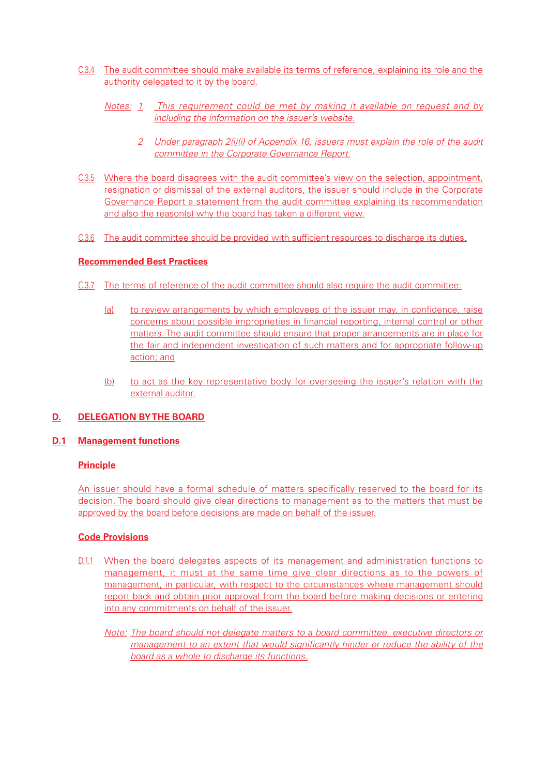- C.3.4 The audit committee should make available its terms of reference, explaining its role and the authority delegated to it by the board.
	- Notes: 1 This requirement could be met by making it available on request and by including the information on the issuer's website.
		- 2 Under paragraph 2(i)(i) of Appendix 16, issuers must explain the role of the audit committee in the Corporate Governance Report.
- C.3.5 Where the board disagrees with the audit committee's view on the selection, appointment, resignation or dismissal of the external auditors, the issuer should include in the Corporate Governance Report a statement from the audit committee explaining its recommendation and also the reason(s) why the board has taken a different view.
- C.3.6 The audit committee should be provided with sufficient resources to discharge its duties.

## **Recommended Best Practices**

- C.3.7 The terms of reference of the audit committee should also require the audit committee:
	- (a) to review arrangements by which employees of the issuer may, in confidence, raise concerns about possible improprieties in financial reporting, internal control or other matters. The audit committee should ensure that proper arrangements are in place for the fair and independent investigation of such matters and for appropriate follow-up action; and
	- (b) to act as the key representative body for overseeing the issuer's relation with the external auditor.

# **D. DELEGATION BY THE BOARD**

#### **D.1 Management functions**

#### **Principle**

An issuer should have a formal schedule of matters specifically reserved to the board for its decision. The board should give clear directions to management as to the matters that must be approved by the board before decisions are made on behalf of the issuer.

- D.1.1 When the board delegates aspects of its management and administration functions to management, it must at the same time give clear directions as to the powers of management, in particular, with respect to the circumstances where management should report back and obtain prior approval from the board before making decisions or entering into any commitments on behalf of the issuer.
	- Note: The board should not delegate matters to a board committee, executive directors or management to an extent that would significantly hinder or reduce the ability of the board as a whole to discharge its functions.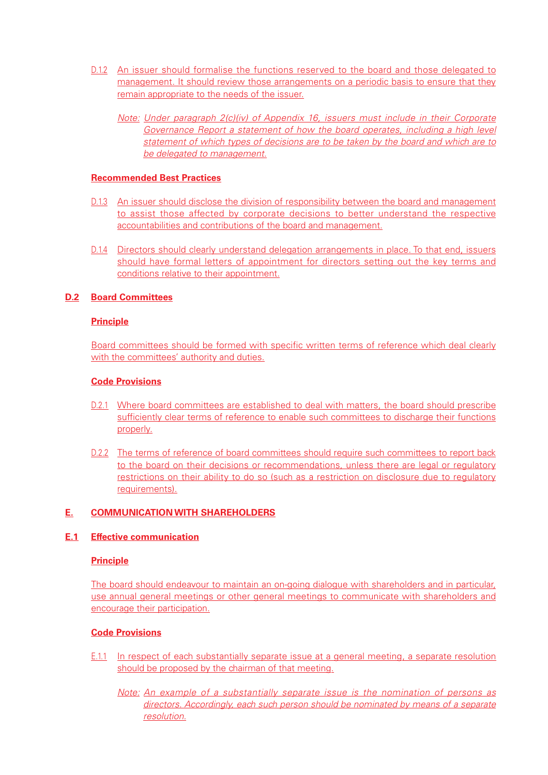- D.1.2 An issuer should formalise the functions reserved to the board and those delegated to management. It should review those arrangements on a periodic basis to ensure that they remain appropriate to the needs of the issuer.
	- Note: Under paragraph 2(c)(iv) of Appendix 16, issuers must include in their Corporate Governance Report a statement of how the board operates, including a high level statement of which types of decisions are to be taken by the board and which are to be delegated to management.

#### **Recommended Best Practices**

- D.1.3 An issuer should disclose the division of responsibility between the board and management to assist those affected by corporate decisions to better understand the respective accountabilities and contributions of the board and management.
- D.1.4 Directors should clearly understand delegation arrangements in place. To that end, issuers should have formal letters of appointment for directors setting out the key terms and conditions relative to their appointment.

## **D.2 Board Committees**

## **Principle**

Board committees should be formed with specific written terms of reference which deal clearly with the committees' authority and duties.

## **Code Provisions**

- D.2.1 Where board committees are established to deal with matters, the board should prescribe sufficiently clear terms of reference to enable such committees to discharge their functions properly.
- D.2.2 The terms of reference of board committees should require such committees to report back to the board on their decisions or recommendations, unless there are legal or regulatory restrictions on their ability to do so (such as a restriction on disclosure due to regulatory requirements).

#### **E. COMMUNICATION WITH SHAREHOLDERS**

#### **E.1 Effective communication**

#### **Principle**

The board should endeavour to maintain an on-going dialogue with shareholders and in particular, use annual general meetings or other general meetings to communicate with shareholders and encourage their participation.

- E.1.1 In respect of each substantially separate issue at a general meeting, a separate resolution should be proposed by the chairman of that meeting.
	- Note: An example of a substantially separate issue is the nomination of persons as directors. Accordingly, each such person should be nominated by means of a separate resolution.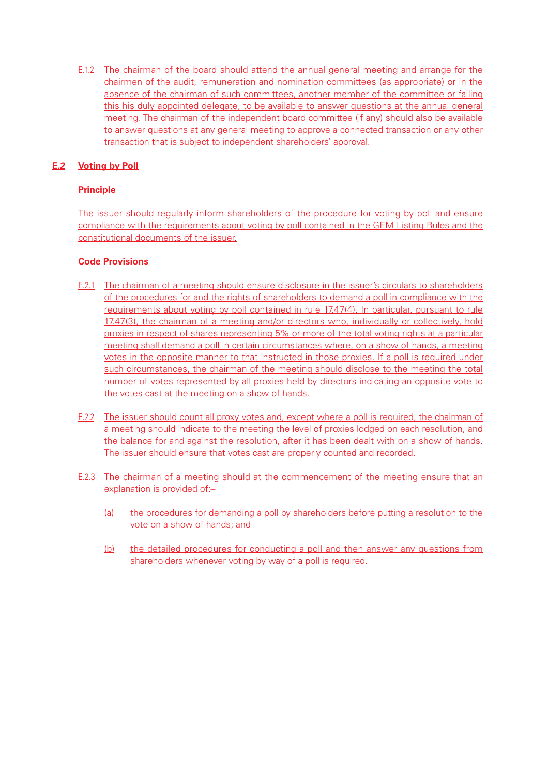E.1.2 The chairman of the board should attend the annual general meeting and arrange for the chairmen of the audit, remuneration and nomination committees (as appropriate) or in the absence of the chairman of such committees, another member of the committee or failing this his duly appointed delegate, to be available to answer questions at the annual general meeting. The chairman of the independent board committee (if any) should also be available to answer questions at any general meeting to approve a connected transaction or any other transaction that is subject to independent shareholders' approval.

# **E.2 Voting by Poll**

# **Principle**

The issuer should regularly inform shareholders of the procedure for voting by poll and ensure compliance with the requirements about voting by poll contained in the GEM Listing Rules and the constitutional documents of the issuer.

- E.2.1 The chairman of a meeting should ensure disclosure in the issuer's circulars to shareholders of the procedures for and the rights of shareholders to demand a poll in compliance with the requirements about voting by poll contained in rule 17.47(4). In particular, pursuant to rule 17.47(3), the chairman of a meeting and/or directors who, individually or collectively, hold proxies in respect of shares representing 5% or more of the total voting rights at a particular meeting shall demand a poll in certain circumstances where, on a show of hands, a meeting votes in the opposite manner to that instructed in those proxies. If a poll is required under such circumstances, the chairman of the meeting should disclose to the meeting the total number of votes represented by all proxies held by directors indicating an opposite vote to the votes cast at the meeting on a show of hands.
- E.2.2 The issuer should count all proxy votes and, except where a poll is required, the chairman of a meeting should indicate to the meeting the level of proxies lodged on each resolution, and the balance for and against the resolution, after it has been dealt with on a show of hands. The issuer should ensure that votes cast are properly counted and recorded.
- E.2.3 The chairman of a meeting should at the commencement of the meeting ensure that an explanation is provided of:–
	- (a) the procedures for demanding a poll by shareholders before putting a resolution to the vote on a show of hands; and
	- (b) the detailed procedures for conducting a poll and then answer any questions from shareholders whenever voting by way of a poll is required.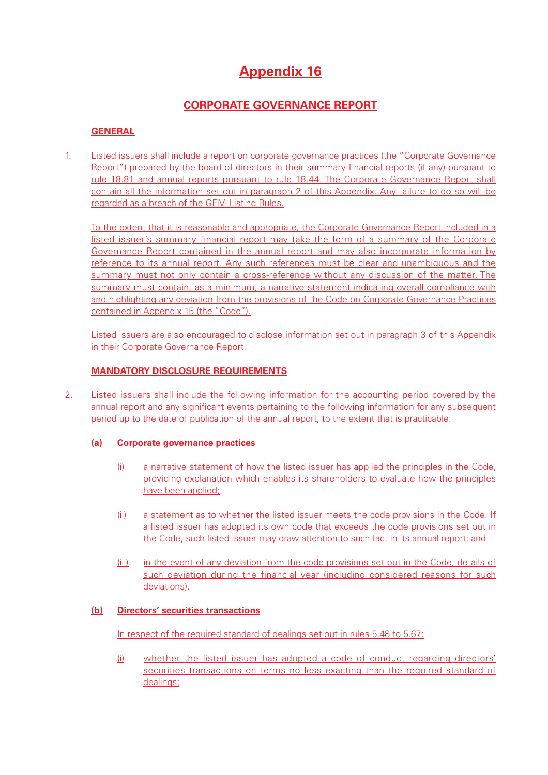# **Appendix 16**

# **CORPORATE GOVERNANCE REPORT**

# **GENERAL**

1. Listed issuers shall include a report on corporate governance practices (the "Corporate Governance Report") prepared by the board of directors in their summary financial reports (if any) pursuant to rule 18.81 and annual reports pursuant to rule 18.44. The Corporate Governance Report shall contain all the information set out in paragraph 2 of this Appendix. Any failure to do so will be regarded as a breach of the GEM Listing Rules.

To the extent that it is reasonable and appropriate, the Corporate Governance Report included in a listed issuer's summary financial report may take the form of a summary of the Corporate Governance Report contained in the annual report and may also incorporate information by reference to its annual report. Any such references must be clear and unambiguous and the summary must not only contain a cross-reference without any discussion of the matter. The summary must contain, as a minimum, a narrative statement indicating overall compliance with and highlighting any deviation from the provisions of the Code on Corporate Governance Practices contained in Appendix 15 (the "Code").

Listed issuers are also encouraged to disclose information set out in paragraph 3 of this Appendix in their Corporate Governance Report.

# **MANDATORY DISCLOSURE REQUIREMENTS**

2. Listed issuers shall include the following information for the accounting period covered by the annual report and any significant events pertaining to the following information for any subsequent period up to the date of publication of the annual report, to the extent that is practicable:

#### **(a) Corporate governance practices**

- (i) a narrative statement of how the listed issuer has applied the principles in the Code, providing explanation which enables its shareholders to evaluate how the principles have been applied:
- (ii) a statement as to whether the listed issuer meets the code provisions in the Code. If a listed issuer has adopted its own code that exceeds the code provisions set out in the Code, such listed issuer may draw attention to such fact in its annual report; and
- (iii) in the event of any deviation from the code provisions set out in the Code, details of such deviation during the financial year (including considered reasons for such deviations).

# **(b) Directors' securities transactions**

In respect of the required standard of dealings set out in rules 5.48 to 5.67:

(i) whether the listed issuer has adopted a code of conduct regarding directors' securities transactions on terms no less exacting than the required standard of dealings: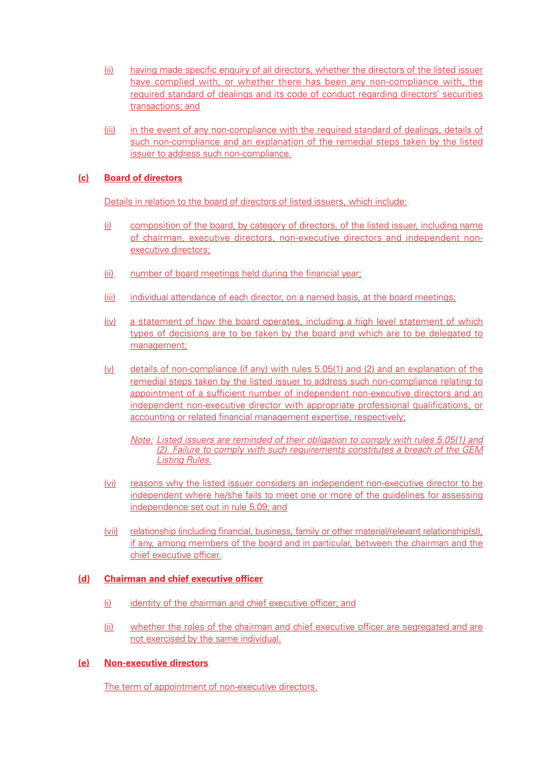- (ii) having made specific enquiry of all directors, whether the directors of the listed issuer have complied with, or whether there has been any non-compliance with, the required standard of dealings and its code of conduct regarding directors' securities transactions; and
- (iii) in the event of any non-compliance with the required standard of dealings, details of such non-compliance and an explanation of the remedial steps taken by the listed issuer to address such non-compliance.

# **(c) Board of directors**

Details in relation to the board of directors of listed issuers, which include:

- (i) composition of the board, by category of directors, of the listed issuer, including name of chairman, executive directors, non-executive directors and independent nonexecutive directors;
- (ii) number of board meetings held during the financial year;
- (iii) individual attendance of each director, on a named basis, at the board meetings;
- (iv) a statement of how the board operates, including a high level statement of which types of decisions are to be taken by the board and which are to be delegated to management;
- (v) details of non-compliance (if any) with rules 5.05(1) and (2) and an explanation of the remedial steps taken by the listed issuer to address such non-compliance relating to appointment of a sufficient number of independent non-executive directors and an independent non-executive director with appropriate professional qualifications, or accounting or related financial management expertise, respectively;

Note: Listed issuers are reminded of their obligation to comply with rules 5.05(1) and (2). Failure to comply with such requirements constitutes a breach of the GEM Listing Rules.

- (vi) reasons why the listed issuer considers an independent non-executive director to be independent where he/she fails to meet one or more of the guidelines for assessing independence set out in rule 5.09; and
- (vii) relationship (including financial, business, family or other material/relevant relationship(s)), if any, among members of the board and in particular, between the chairman and the chief executive officer.

#### **(d) Chairman and chief executive officer**

- (i) identity of the chairman and chief executive officer; and
- (ii) whether the roles of the chairman and chief executive officer are segregated and are not exercised by the same individual.

#### **(e) Non-executive directors**

The term of appointment of non-executive directors.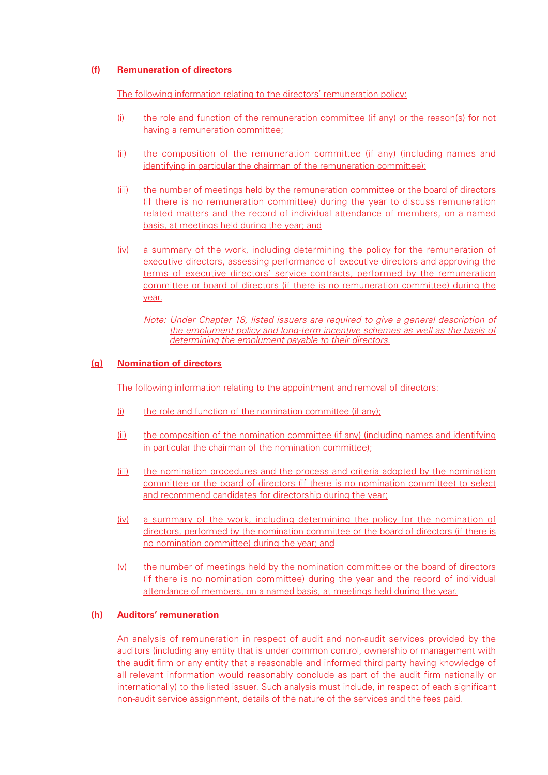# **(f) Remuneration of directors**

The following information relating to the directors' remuneration policy:

- (i) the role and function of the remuneration committee (if any) or the reason(s) for not having a remuneration committee;
- (ii) the composition of the remuneration committee (if any) (including names and identifying in particular the chairman of the remuneration committee);
- (iii) the number of meetings held by the remuneration committee or the board of directors (if there is no remuneration committee) during the year to discuss remuneration related matters and the record of individual attendance of members, on a named basis, at meetings held during the year; and
- (iv) a summary of the work, including determining the policy for the remuneration of executive directors, assessing performance of executive directors and approving the terms of executive directors' service contracts, performed by the remuneration committee or board of directors (if there is no remuneration committee) during the year.
	- Note: Under Chapter 18, listed issuers are required to give a general description of the emolument policy and long-term incentive schemes as well as the basis of determining the emolument payable to their directors.

## **(g) Nomination of directors**

The following information relating to the appointment and removal of directors:

- $(i)$  the role and function of the nomination committee (if any);
- (ii) the composition of the nomination committee (if any) (including names and identifying in particular the chairman of the nomination committee);
- (iii) the nomination procedures and the process and criteria adopted by the nomination committee or the board of directors (if there is no nomination committee) to select and recommend candidates for directorship during the year;
- (iv) a summary of the work, including determining the policy for the nomination of directors, performed by the nomination committee or the board of directors (if there is no nomination committee) during the year; and
- (v) the number of meetings held by the nomination committee or the board of directors (if there is no nomination committee) during the year and the record of individual attendance of members, on a named basis, at meetings held during the year.

#### **(h) Auditors' remuneration**

An analysis of remuneration in respect of audit and non-audit services provided by the auditors (including any entity that is under common control, ownership or management with the audit firm or any entity that a reasonable and informed third party having knowledge of all relevant information would reasonably conclude as part of the audit firm nationally or internationally) to the listed issuer. Such analysis must include, in respect of each significant non-audit service assignment, details of the nature of the services and the fees paid.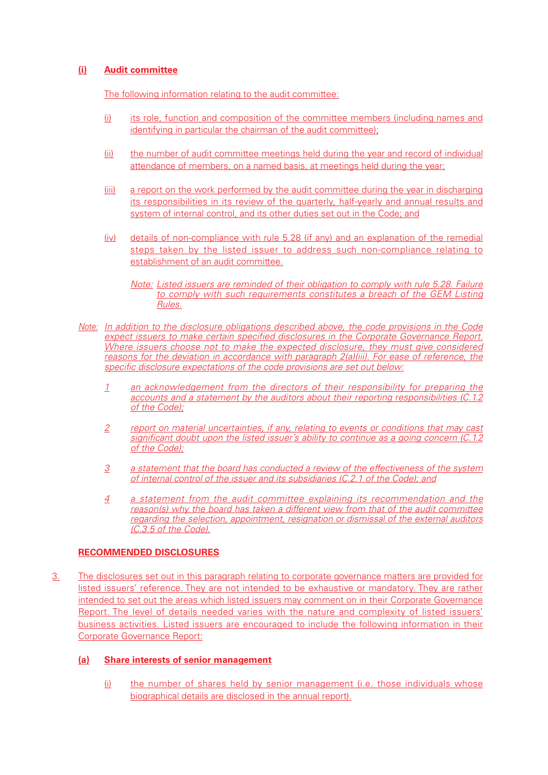# **(i) Audit committee**

The following information relating to the audit committee:

- (i) its role, function and composition of the committee members (including names and identifying in particular the chairman of the audit committee);
- (ii) the number of audit committee meetings held during the year and record of individual attendance of members, on a named basis, at meetings held during the year;
- (iii) a report on the work performed by the audit committee during the year in discharging its responsibilities in its review of the quarterly, half-yearly and annual results and system of internal control, and its other duties set out in the Code; and
- (iv) details of non-compliance with rule 5.28 (if any) and an explanation of the remedial steps taken by the listed issuer to address such non-compliance relating to establishment of an audit committee.
	- Note: Listed issuers are reminded of their obligation to comply with rule 5.28. Failure to comply with such requirements constitutes a breach of the GEM Listing Rules.
- Note: In addition to the disclosure obligations described above, the code provisions in the Code expect issuers to make certain specified disclosures in the Corporate Governance Report. Where issuers choose not to make the expected disclosure, they must give considered reasons for the deviation in accordance with paragraph 2(a)(iii). For ease of reference, the specific disclosure expectations of the code provisions are set out below:
	- 1 an acknowledgement from the directors of their responsibility for preparing the accounts and a statement by the auditors about their reporting responsibilities (C.1.2 of the Code);
	- 2 report on material uncertainties, if any, relating to events or conditions that may cast significant doubt upon the listed issuer's ability to continue as a going concern (C.1.2) of the Code);
	- 3 a statement that the board has conducted a review of the effectiveness of the system of internal control of the issuer and its subsidiaries (C.2.1 of the Code); and
	- 4 a statement from the audit committee explaining its recommendation and the reason(s) why the board has taken a different view from that of the audit committee regarding the selection, appointment, resignation or dismissal of the external auditors (C.3.5 of the Code).

# **RECOMMENDED DISCLOSURES**

3. The disclosures set out in this paragraph relating to corporate governance matters are provided for listed issuers' reference. They are not intended to be exhaustive or mandatory. They are rather intended to set out the areas which listed issuers may comment on in their Corporate Governance Report. The level of details needed varies with the nature and complexity of listed issuers' business activities. Listed issuers are encouraged to include the following information in their Corporate Governance Report:

# **(a) Share interests of senior management**

(i) the number of shares held by senior management (i.e. those individuals whose biographical details are disclosed in the annual report).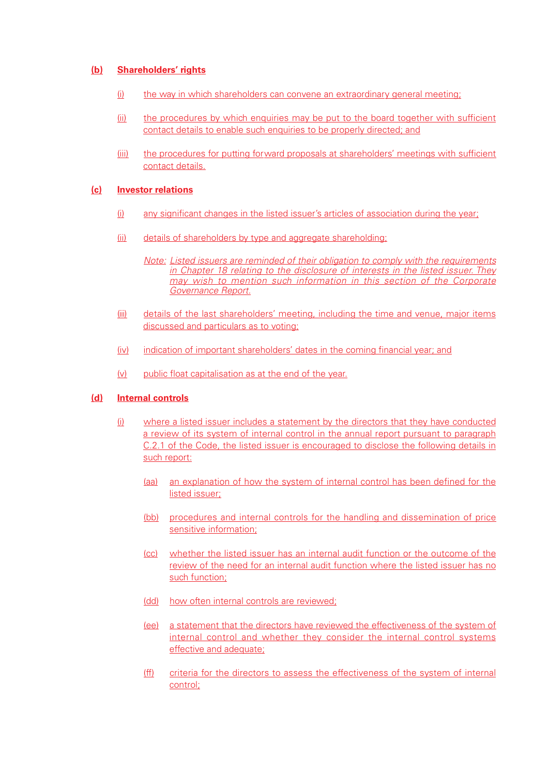#### **(b) Shareholders' rights**

- $(i)$  the way in which shareholders can convene an extraordinary general meeting;
- (ii) the procedures by which enquiries may be put to the board together with sufficient contact details to enable such enquiries to be properly directed; and
- (iii) the procedures for putting forward proposals at shareholders' meetings with sufficient contact details.

#### **(c) Investor relations**

- (i) any significant changes in the listed issuer's articles of association during the year;
- (ii) details of shareholders by type and aggregate shareholding;
	- Note: Listed issuers are reminded of their obligation to comply with the requirements in Chapter 18 relating to the disclosure of interests in the listed issuer. They may wish to mention such information in this section of the Corporate Governance Report.
- (iii) details of the last shareholders' meeting, including the time and venue, major items discussed and particulars as to voting;
- (iv) indication of important shareholders' dates in the coming financial year; and
- (v) public float capitalisation as at the end of the year.

#### **(d) Internal controls**

- (i) where a listed issuer includes a statement by the directors that they have conducted a review of its system of internal control in the annual report pursuant to paragraph C.2.1 of the Code, the listed issuer is encouraged to disclose the following details in such report:
	- (aa) an explanation of how the system of internal control has been defined for the listed issuer;
	- (bb) procedures and internal controls for the handling and dissemination of price sensitive information;
	- (cc) whether the listed issuer has an internal audit function or the outcome of the review of the need for an internal audit function where the listed issuer has no such function;
	- (dd) how often internal controls are reviewed;
	- (ee) a statement that the directors have reviewed the effectiveness of the system of internal control and whether they consider the internal control systems effective and adequate;
	- (ff) criteria for the directors to assess the effectiveness of the system of internal control;